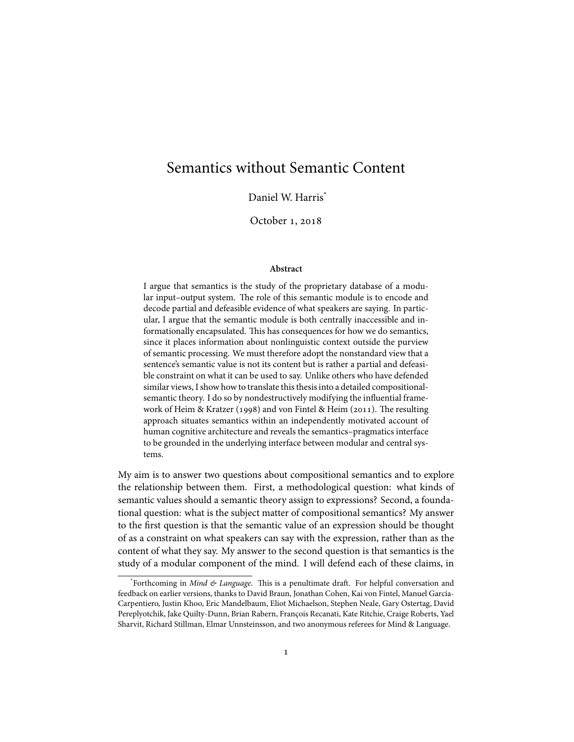# Semantics without Semantic Content

Daniel W. Harris<sup>\*</sup>

October 1, 2018

#### **Abstract**

I argue that semantics is the study of the proprietary database of a modular input–output system. The role of this semantic module is to encode and decode partial and defeasible evidence of what speakers are saying. In particular, I argue that the semantic module is both centrally inaccessible and informationally encapsulated. This has consequences for how we do semantics, since it places information about nonlinguistic context outside the purview of semantic processing. We must therefore adopt the nonstandard view that a sentence's semantic value is not its content but is rather a partial and defeasible constraint on what it can be used to say. Unlike others who have defended similar views, I show how to translate this thesis into a detailed compositionalsemantic theory. I do so by nondestructively modifying the influential framework of Heim & Kratzer (1998) and von Fintel & Heim (2011). The resulting approach situates semantics within an independently motivated account of human cognitive architecture and reveals the semantics–pragmatics interface to be grounded in the underlying interface between modular and central systems.

My aim is to answer two questions about compositional semantics and to explore the relationship between them. First, a methodological question: what kinds of semantic values should a semantic theory assign to expressions? Second, a foundational question: what is the subject matter of compositional semantics? My answer to the first question is that the semantic value of an expression should be thought of as a constraint on what speakers can say with the expression, rather than as the content of what they say. My answer to the second question is that semantics is the study of a modular component of the mind. I will defend each of these claims, in

<sup>\*</sup> Forthcoming in *Mind & Language*. This is a penultimate draft. For helpful conversation and feedback on earlier versions, thanks to David Braun, Jonathan Cohen, Kai von Fintel, Manuel García-Carpentiero, Justin Khoo, Eric Mandelbaum, Eliot Michaelson, Stephen Neale, Gary Ostertag, David Pereplyotchik, Jake Quilty-Dunn, Brian Rabern, François Recanati, Kate Ritchie, Craige Roberts, Yael Sharvit, Richard Stillman, Elmar Unnsteinsson, and two anonymous referees for Mind & Language.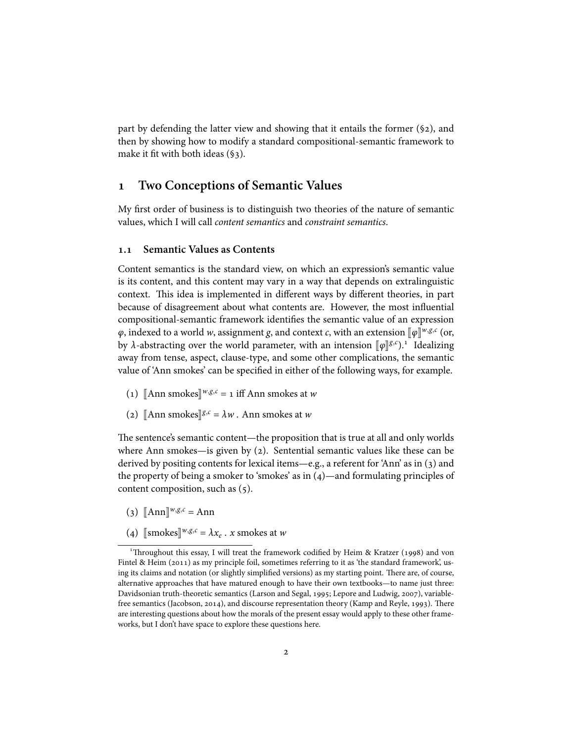part by defending the latter view and showing that it entails the former  $(\$2)$ , and then by showing how to modify a standard compositional-semantic framework to make it fit with both ideas (§3).

### **Two Conceptions of Semantic Values**

My first order of business is to distinguish two theories of the nature of semantic values, which I will call *content semantics* and *constraint semantics*.

### **. Semantic Values as Contents**

Content semantics is the standard view, on which an expression's semantic value is its content, and this content may vary in a way that depends on extralinguistic context. This idea is implemented in different ways by different theories, in part because of disagreement about what contents are. However, the most influential compositional-semantic framework identifies the semantic value of an expression *φ*, indexed to a world *w*, assignment *g*, and context *c*, with an extension  $[\![\varphi]\!]^{w,g,c}$  (or, by *λ*-abstracting over the world parameter, with an intension  $[\![\varphi]\!]^{g,c}$ ).<sup>1</sup> Idealizing away from tense, aspect, clause-type, and some other complications, the semantic value of 'Ann smokes' can be specified in either of the following ways, for example.

- (1)  $[\text{Ann smokes}]^{w,g,c} = 1 \text{ iff Ann smokes at } w$
- (2)  $[\![\text{Ann smokes}]\!]^{g,c} = \lambda w$ . Ann smokes at *w*

The sentence's semantic content—the proposition that is true at all and only worlds where Ann smokes—is given by  $(2)$ . Sentential semantic values like these can be derived by positing contents for lexical items—e.g., a referent for 'Ann' as in  $(3)$  and the property of being a smoker to 'smokes' as in  $(4)$ —and formulating principles of content composition, such as (5).

- $(\text{3})$   $[\text{Ann}]^{w,g,c} = \text{Ann}$
- (4)  $[\text{smokes}]^{w,g,c} = \lambda x_e \cdot x \text{ smokes at } w$

<sup>&</sup>lt;sup>1</sup>Throughout this essay, I will treat the framework codified by Heim & Kratzer (1998) and von Fintel & Heim  $(2011)$  as my principle foil, sometimes referring to it as 'the standard framework', using its claims and notation (or slightly simplified versions) as my starting point. There are, of course, alternative approaches that have matured enough to have their own textbooks—to name just three: Davidsonian truth-theoretic semantics (Larson and Segal, 1995; Lepore and Ludwig, 2007), variablefree semantics (Jacobson, 2014), and discourse representation theory (Kamp and Reyle, 1993). There are interesting questions about how the morals of the present essay would apply to these other frameworks, but I don't have space to explore these questions here.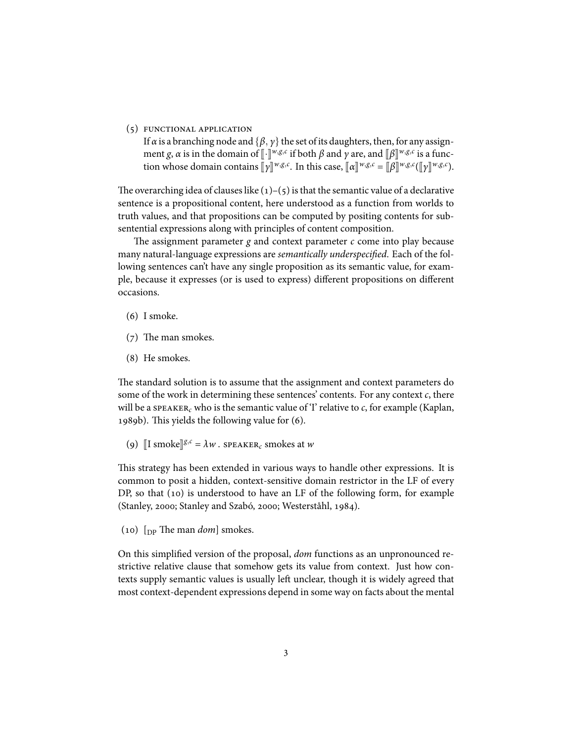(5) FUNCTIONAL APPLICATION

If *α* is a branching node and  $\{\beta, \gamma\}$  the set of its daughters, then, for any assignment *g*, *α* is in the domain of  $\llbracket \cdot \rrbracket^{w,g,c}$  if both  $\beta$  and  $\gamma$  are, and  $\llbracket \beta \rrbracket^{w,g,c}$  is a function whose domain contains  $[\![\gamma]\!]^{w,g,c}$ . In this case,  $[\![\alpha]\!]^{w,g,c} = [\![\beta]\!]^{w,g,c}([\![\gamma]\!]^{w,g,c})$ .

The overarching idea of clauses like  $(1)$ – $(5)$  is that the semantic value of a declarative sentence is a propositional content, here understood as a function from worlds to truth values, and that propositions can be computed by positing contents for subsentential expressions along with principles of content composition.

The assignment parameter *g* and context parameter *c* come into play because many natural-language expressions are *semantically underspecified*. Each of the following sentences can't have any single proposition as its semantic value, for example, because it expresses (or is used to express) different propositions on different occasions.

- $(6)$  I smoke.
- $(7)$  The man smokes.
- (8) He smokes.

The standard solution is to assume that the assignment and context parameters do some of the work in determining these sentences' contents. For any context *c*, there will be a speaker<sub>c</sub> who is the semantic value of 'I' relative to  $c$ , for example (Kaplan, 1989b). This yields the following value for  $(6)$ .

(9)  $\left[ \text{I smoke} \right]$ <sup>*g*,*c*</sup> =  $\lambda w$ . speaker<sub>*c*</sub> smokes at *w* 

This strategy has been extended in various ways to handle other expressions. It is common to posit a hidden, context-sensitive domain restrictor in the LF of every DP, so that  $(10)$  is understood to have an LF of the following form, for example (Stanley, 2000; Stanley and Szabó, 2000; Westerståhl, 1984).

() [DP The man *dom*] smokes.

On this simplified version of the proposal, *dom* functions as an unpronounced restrictive relative clause that somehow gets its value from context. Just how contexts supply semantic values is usually left unclear, though it is widely agreed that most context-dependent expressions depend in some way on facts about the mental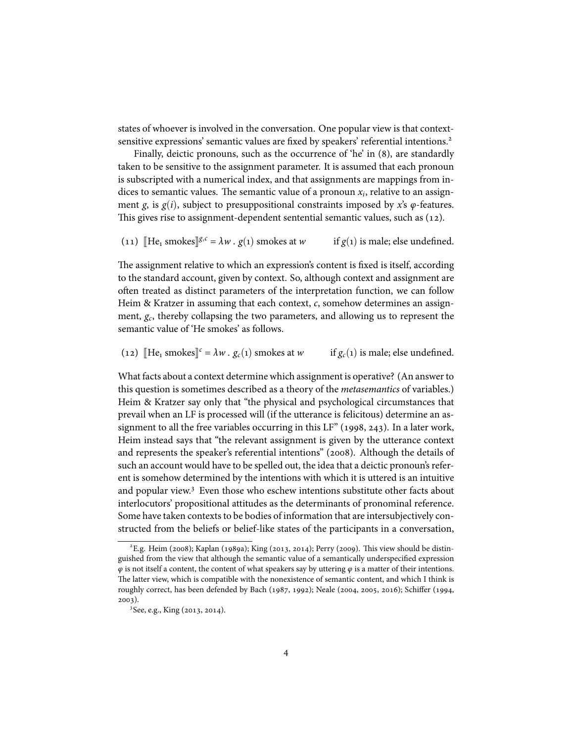states of whoever is involved in the conversation. One popular view is that contextsensitive expressions' semantic values are fixed by speakers' referential intentions.

Finally, deictic pronouns, such as the occurrence of 'he' in (8), are standardly taken to be sensitive to the assignment parameter. It is assumed that each pronoun is subscripted with a numerical index, and that assignments are mappings from indices to semantic values. The semantic value of a pronoun *x<sup>i</sup>* , relative to an assignment *g*, is  $g(i)$ , subject to presuppositional constraints imposed by *x*'s  $\varphi$ -features. This gives rise to assignment-dependent sentential semantic values, such as  $(12)$ .

```
(11) \left[\text{He}_1 \text{ smokes}\right] g,c = \lambda w \cdot g(1) \text{ smokes at } wif g(1) is male; else undefined.
```
The assignment relative to which an expression's content is fixed is itself, according to the standard account, given by context. So, although context and assignment are often treated as distinct parameters of the interpretation function, we can follow Heim & Kratzer in assuming that each context, *c*, somehow determines an assignment, *g<sup>c</sup>* , thereby collapsing the two parameters, and allowing us to represent the semantic value of 'He smokes' as follows.

(12)  $\left[\text{He}_1 \text{ smokes}\right] = \lambda w \cdot g_c(1) \text{ smokes at } w$ *if*  $g_c(1)$  *is male; else undefined.* 

What facts about a context determine which assignment is operative? (An answer to this question is sometimes described as a theory of the *metasemantics* of variables.) Heim & Kratzer say only that "the physical and psychological circumstances that prevail when an LF is processed will (if the utterance is felicitous) determine an assignment to all the free variables occurring in this  $LF''(1998, 243)$ . In a later work, Heim instead says that "the relevant assignment is given by the utterance context and represents the speaker's referential intentions" (2008). Although the details of such an account would have to be spelled out, the idea that a deictic pronoun's referent is somehow determined by the intentions with which it is uttered is an intuitive and popular view. $3$  Even those who eschew intentions substitute other facts about interlocutors' propositional attitudes as the determinants of pronominal reference. Some have taken contexts to be bodies of information that are intersubjectively constructed from the beliefs or belief-like states of the participants in a conversation,

 $E^2$ E.g. Heim (2008); Kaplan (1989a); King (2013, 2014); Perry (2009). This view should be distinguished from the view that although the semantic value of a semantically underspecified expression *φ* is not itself a content, the content of what speakers say by uttering *φ* is a matter of their intentions. The latter view, which is compatible with the nonexistence of semantic content, and which I think is roughly correct, has been defended by Bach (1987, 1992); Neale (2004, 2005, 2016); Schiffer (1994,  $2003$ ).

<sup>&</sup>lt;sup>3</sup> See, e.g., King (2013, 2014).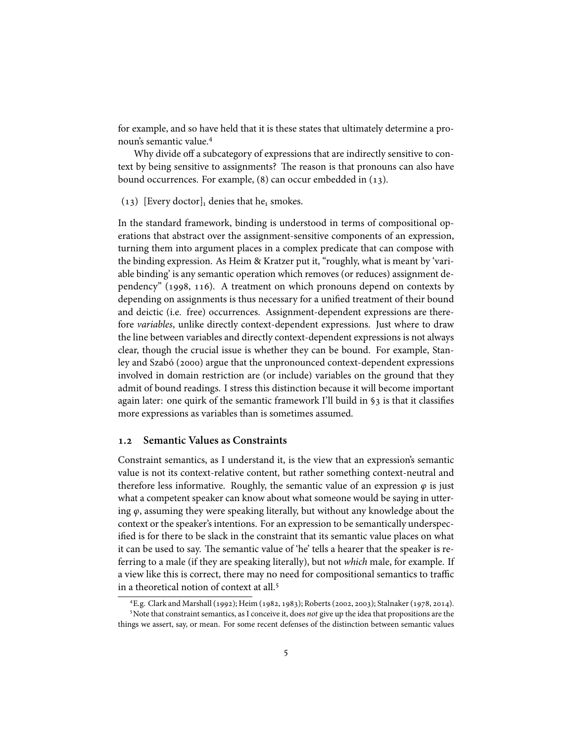for example, and so have held that it is these states that ultimately determine a pronoun's semantic value.

Why divide off a subcategory of expressions that are indirectly sensitive to context by being sensitive to assignments? The reason is that pronouns can also have bound occurrences. For example,  $(8)$  can occur embedded in  $(13)$ .

(13) [Every doctor]<sub>1</sub> denies that he<sub>1</sub> smokes.

In the standard framework, binding is understood in terms of compositional operations that abstract over the assignment-sensitive components of an expression, turning them into argument places in a complex predicate that can compose with the binding expression. As Heim & Kratzer put it, "roughly, what is meant by 'variable binding' is any semantic operation which removes (or reduces) assignment dependency"  $(1998, 116)$ . A treatment on which pronouns depend on contexts by depending on assignments is thus necessary for a unified treatment of their bound and deictic (i.e. free) occurrences. Assignment-dependent expressions are therefore *variables*, unlike directly context-dependent expressions. Just where to draw the line between variables and directly context-dependent expressions is not always clear, though the crucial issue is whether they can be bound. For example, Stanley and Szabó (2000) argue that the unpronounced context-dependent expressions involved in domain restriction are (or include) variables on the ground that they admit of bound readings. I stress this distinction because it will become important again later: one quirk of the semantic framework I'll build in §3 is that it classifies more expressions as variables than is sometimes assumed.

### **. Semantic Values as Constraints**

Constraint semantics, as I understand it, is the view that an expression's semantic value is not its context-relative content, but rather something context-neutral and therefore less informative. Roughly, the semantic value of an expression  $\varphi$  is just what a competent speaker can know about what someone would be saying in uttering *φ*, assuming they were speaking literally, but without any knowledge about the context or the speaker's intentions. For an expression to be semantically underspecified is for there to be slack in the constraint that its semantic value places on what it can be used to say. The semantic value of 'he' tells a hearer that the speaker is referring to a male (if they are speaking literally), but not *which* male, for example. If a view like this is correct, there may no need for compositional semantics to traffic in a theoretical notion of context at all.

<sup>&</sup>lt;sup>4</sup>E.g. Clark and Marshall (1992); Heim (1982, 1983); Roberts (2002, 2003); Stalnaker (1978, 2014). Note that constraint semantics, as I conceive it, does *not* give up the idea that propositions are the things we assert, say, or mean. For some recent defenses of the distinction between semantic values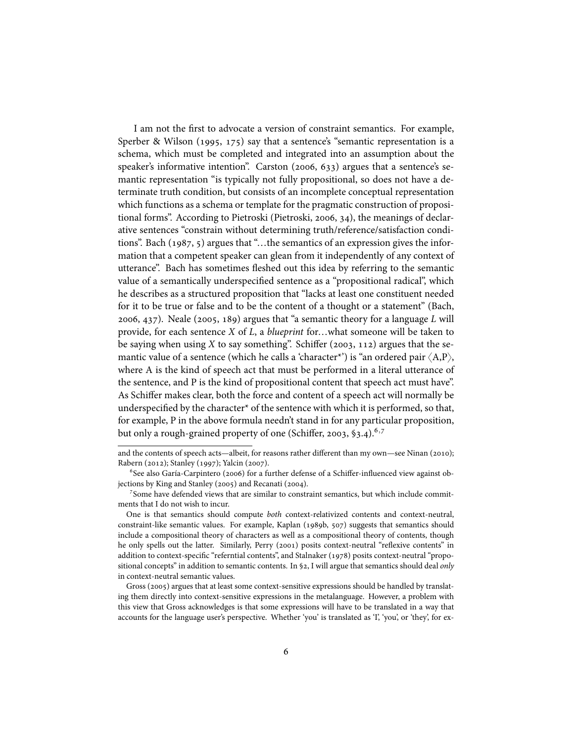I am not the first to advocate a version of constraint semantics. For example, Sperber & Wilson (1995, 175) say that a sentence's "semantic representation is a schema, which must be completed and integrated into an assumption about the speaker's informative intention". Carston  $(2006, 633)$  argues that a sentence's semantic representation "is typically not fully propositional, so does not have a determinate truth condition, but consists of an incomplete conceptual representation which functions as a schema or template for the pragmatic construction of propositional forms". According to Pietroski (Pietroski, 2006, 34), the meanings of declarative sentences "constrain without determining truth/reference/satisfaction conditions". Bach  $(1987, 5)$  argues that "...the semantics of an expression gives the information that a competent speaker can glean from it independently of any context of utterance". Bach has sometimes fleshed out this idea by referring to the semantic value of a semantically underspecified sentence as a "propositional radical", which he describes as a structured proposition that "lacks at least one constituent needed for it to be true or false and to be the content of a thought or a statement" (Bach, 2006, 437). Neale (2005, 189) argues that "a semantic theory for a language *L* will provide, for each sentence *X* of *L*, a *blueprint* for…what someone will be taken to be saying when using  $X$  to say something". Schiffer (2003, 112) argues that the semantic value of a sentence (which he calls a 'character\*') is "an ordered pair  $\langle A, P \rangle$ , where A is the kind of speech act that must be performed in a literal utterance of the sentence, and P is the kind of propositional content that speech act must have". As Schiffer makes clear, both the force and content of a speech act will normally be underspecified by the character\* of the sentence with which it is performed, so that, for example, P in the above formula needn't stand in for any particular proposition, but only a rough-grained property of one (Schiffer, 2003,  $\S$ 3.4).<sup>6,7</sup>

and the contents of speech acts—albeit, for reasons rather different than my own—see Ninan (2010); Rabern (2012); Stanley (1997); Yalcin (2007).

 $6$ See also Garía-Carpintero (2006) for a further defense of a Schiffer-influenced view against objections by King and Stanley (2005) and Recanati (2004).

<sup>&</sup>lt;sup>7</sup>Some have defended views that are similar to constraint semantics, but which include commitments that I do not wish to incur.

One is that semantics should compute *both* context-relativized contents and context-neutral, constraint-like semantic values. For example, Kaplan (1989b, 507) suggests that semantics should include a compositional theory of characters as well as a compositional theory of contents, though he only spells out the latter. Similarly, Perry (2001) posits context-neutral "reflexive contents" in addition to context-specific "referntial contents", and Stalnaker (1978) posits context-neutral "propositional concepts" in addition to semantic contents. In §2, I will argue that semantics should deal *only* in context-neutral semantic values.

Gross (2005) argues that at least some context-sensitive expressions should be handled by translating them directly into context-sensitive expressions in the metalanguage. However, a problem with this view that Gross acknowledges is that some expressions will have to be translated in a way that accounts for the language user's perspective. Whether 'you' is translated as 'I', 'you', or 'they', for ex-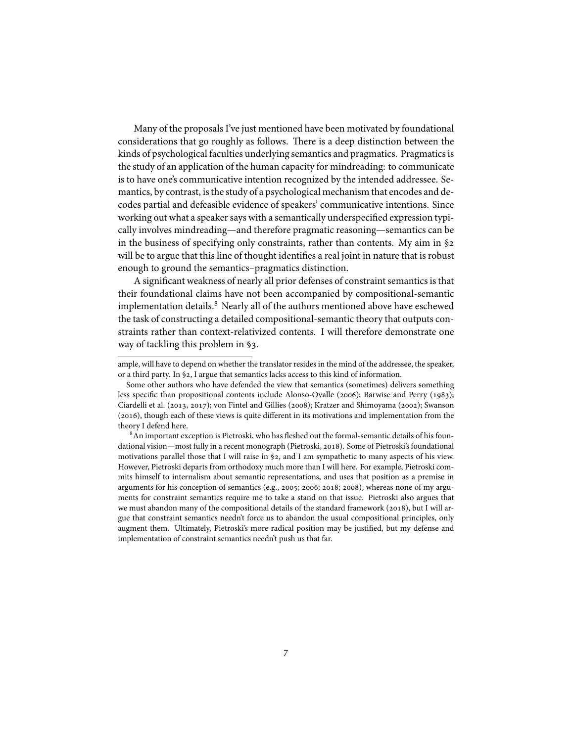Many of the proposals I've just mentioned have been motivated by foundational considerations that go roughly as follows. There is a deep distinction between the kinds of psychological faculties underlying semantics and pragmatics. Pragmatics is the study of an application of the human capacity for mindreading: to communicate is to have one's communicative intention recognized by the intended addressee. Semantics, by contrast, is the study of a psychological mechanism that encodes and decodes partial and defeasible evidence of speakers' communicative intentions. Since working out what a speaker says with a semantically underspecified expression typically involves mindreading—and therefore pragmatic reasoning—semantics can be in the business of specifying only constraints, rather than contents. My aim in § will be to argue that this line of thought identifies a real joint in nature that is robust enough to ground the semantics–pragmatics distinction.

A significant weakness of nearly all prior defenses of constraint semantics is that their foundational claims have not been accompanied by compositional-semantic implementation details.<sup>8</sup> Nearly all of the authors mentioned above have eschewed the task of constructing a detailed compositional-semantic theory that outputs constraints rather than context-relativized contents. I will therefore demonstrate one way of tackling this problem in §3.

ample, will have to depend on whether the translator resides in the mind of the addressee, the speaker, or a third party. In §2, I argue that semantics lacks access to this kind of information.

Some other authors who have defended the view that semantics (sometimes) delivers something less specific than propositional contents include Alonso-Ovalle (2006); Barwise and Perry (1983); Ciardelli et al. (2013, 2017); von Fintel and Gillies (2008); Kratzer and Shimoyama (2002); Swanson  $(2016)$ , though each of these views is quite different in its motivations and implementation from the theory I defend here.

 ${}^{8}$ An important exception is Pietroski, who has fleshed out the formal-semantic details of his foundational vision—most fully in a recent monograph (Pietroski, 2018). Some of Pietroski's foundational motivations parallel those that I will raise in §2, and I am sympathetic to many aspects of his view. However, Pietroski departs from orthodoxy much more than I will here. For example, Pietroski commits himself to internalism about semantic representations, and uses that position as a premise in arguments for his conception of semantics (e.g., 2005; 2006; 2018; 2008), whereas none of my arguments for constraint semantics require me to take a stand on that issue. Pietroski also argues that we must abandon many of the compositional details of the standard framework (2018), but I will argue that constraint semantics needn't force us to abandon the usual compositional principles, only augment them. Ultimately, Pietroski's more radical position may be justified, but my defense and implementation of constraint semantics needn't push us that far.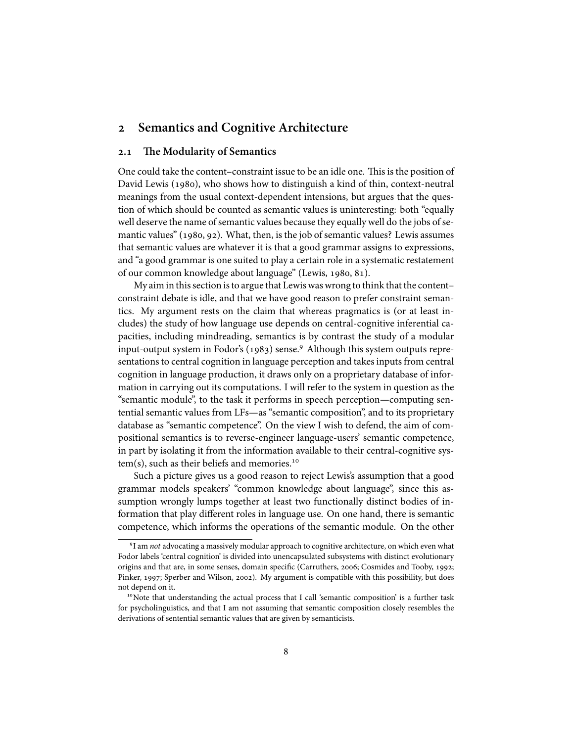### **Semantics and Cognitive Architecture**

### **. The Modularity of Semantics**

One could take the content–constraint issue to be an idle one. This is the position of David Lewis (1980), who shows how to distinguish a kind of thin, context-neutral meanings from the usual context-dependent intensions, but argues that the question of which should be counted as semantic values is uninteresting: both "equally well deserve the name of semantic values because they equally well do the jobs of semantic values"  $(1980, 92)$ . What, then, is the job of semantic values? Lewis assumes that semantic values are whatever it is that a good grammar assigns to expressions, and "a good grammar is one suited to play a certain role in a systematic restatement of our common knowledge about language" (Lewis, 1980, 81).

My aim in this section is to argue that Lewis was wrong to think that the content– constraint debate is idle, and that we have good reason to prefer constraint semantics. My argument rests on the claim that whereas pragmatics is (or at least includes) the study of how language use depends on central-cognitive inferential capacities, including mindreading, semantics is by contrast the study of a modular input-output system in Fodor's  $(1983)$  sense. Although this system outputs representations to central cognition in language perception and takes inputs from central cognition in language production, it draws only on a proprietary database of information in carrying out its computations. I will refer to the system in question as the "semantic module", to the task it performs in speech perception—computing sentential semantic values from LFs—as "semantic composition", and to its proprietary database as "semantic competence". On the view I wish to defend, the aim of compositional semantics is to reverse-engineer language-users' semantic competence, in part by isolating it from the information available to their central-cognitive system(s), such as their beliefs and memories.

Such a picture gives us a good reason to reject Lewis's assumption that a good grammar models speakers' "common knowledge about language", since this assumption wrongly lumps together at least two functionally distinct bodies of information that play different roles in language use. On one hand, there is semantic competence, which informs the operations of the semantic module. On the other

I am *not* advocating a massively modular approach to cognitive architecture, on which even what Fodor labels 'central cognition' is divided into unencapsulated subsystems with distinct evolutionary origins and that are, in some senses, domain specific (Carruthers, 2006; Cosmides and Tooby, 1992; Pinker, 1997; Sperber and Wilson, 2002). My argument is compatible with this possibility, but does not depend on it.

<sup>&</sup>lt;sup>10</sup>Note that understanding the actual process that I call 'semantic composition' is a further task for psycholinguistics, and that I am not assuming that semantic composition closely resembles the derivations of sentential semantic values that are given by semanticists.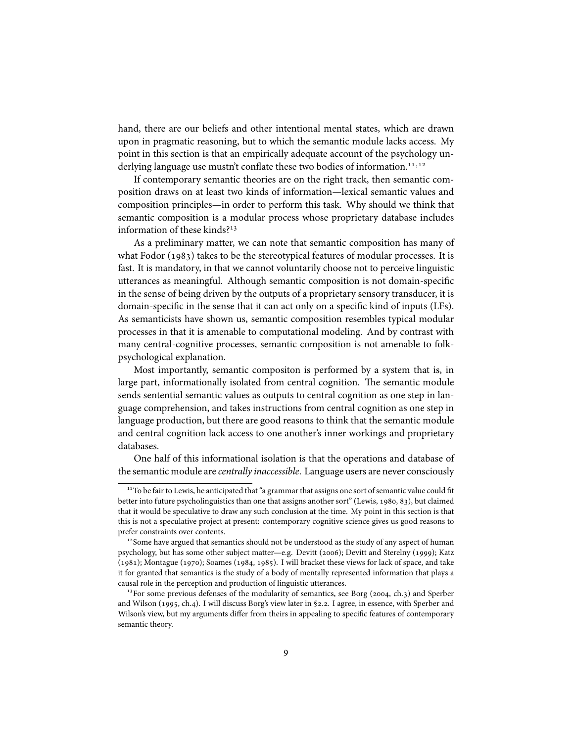hand, there are our beliefs and other intentional mental states, which are drawn upon in pragmatic reasoning, but to which the semantic module lacks access. My point in this section is that an empirically adequate account of the psychology underlying language use mustn't conflate these two bodies of information.*,*

If contemporary semantic theories are on the right track, then semantic composition draws on at least two kinds of information—lexical semantic values and composition principles—in order to perform this task. Why should we think that semantic composition is a modular process whose proprietary database includes information of these kinds?<sup>13</sup>

As a preliminary matter, we can note that semantic composition has many of what Fodor  $(1983)$  takes to be the stereotypical features of modular processes. It is fast. It is mandatory, in that we cannot voluntarily choose not to perceive linguistic utterances as meaningful. Although semantic composition is not domain-specific in the sense of being driven by the outputs of a proprietary sensory transducer, it is domain-specific in the sense that it can act only on a specific kind of inputs (LFs). As semanticists have shown us, semantic composition resembles typical modular processes in that it is amenable to computational modeling. And by contrast with many central-cognitive processes, semantic composition is not amenable to folkpsychological explanation.

Most importantly, semantic compositon is performed by a system that is, in large part, informationally isolated from central cognition. The semantic module sends sentential semantic values as outputs to central cognition as one step in language comprehension, and takes instructions from central cognition as one step in language production, but there are good reasons to think that the semantic module and central cognition lack access to one another's inner workings and proprietary databases.

One half of this informational isolation is that the operations and database of the semantic module are *centrally inaccessible*. Language users are never consciously

<sup>&</sup>lt;sup>11</sup>To be fair to Lewis, he anticipated that "a grammar that assigns one sort of semantic value could fit better into future psycholinguistics than one that assigns another sort" (Lewis, 1980, 83), but claimed that it would be speculative to draw any such conclusion at the time. My point in this section is that this is not a speculative project at present: contemporary cognitive science gives us good reasons to prefer constraints over contents.

 $12$ Some have argued that semantics should not be understood as the study of any aspect of human psychology, but has some other subject matter—e.g. Devitt (2006); Devitt and Sterelny (1999); Katz  $(1981)$ ; Montague  $(1970)$ ; Soames  $(1984, 1985)$ . I will bracket these views for lack of space, and take it for granted that semantics is the study of a body of mentally represented information that plays a causal role in the perception and production of linguistic utterances.

 $13$  For some previous defenses of the modularity of semantics, see Borg (2004, ch.3) and Sperber and Wilson (1995, ch.4). I will discuss Borg's view later in §2.2. I agree, in essence, with Sperber and Wilson's view, but my arguments differ from theirs in appealing to specific features of contemporary semantic theory.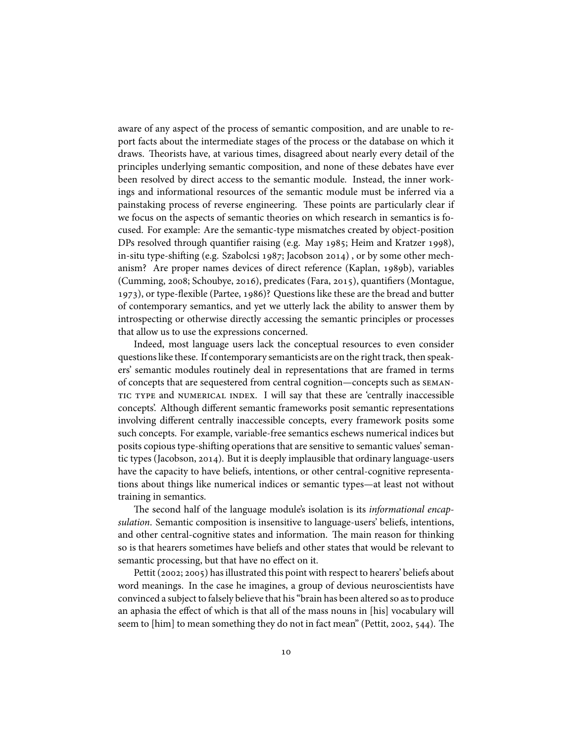aware of any aspect of the process of semantic composition, and are unable to report facts about the intermediate stages of the process or the database on which it draws. Theorists have, at various times, disagreed about nearly every detail of the principles underlying semantic composition, and none of these debates have ever been resolved by direct access to the semantic module. Instead, the inner workings and informational resources of the semantic module must be inferred via a painstaking process of reverse engineering. These points are particularly clear if we focus on the aspects of semantic theories on which research in semantics is focused. For example: Are the semantic-type mismatches created by object-position DPs resolved through quantifier raising (e.g. May 1985; Heim and Kratzer 1998), in-situ type-shifting (e.g. Szabolcsi 1987; Jacobson 2014), or by some other mechanism? Are proper names devices of direct reference (Kaplan, 1989b), variables (Cumming, 2008; Schoubye, 2016), predicates (Fara, 2015), quantifiers (Montague, 1973), or type-flexible (Partee, 1986)? Questions like these are the bread and butter of contemporary semantics, and yet we utterly lack the ability to answer them by introspecting or otherwise directly accessing the semantic principles or processes that allow us to use the expressions concerned.

Indeed, most language users lack the conceptual resources to even consider questions like these. If contemporary semanticists are on the right track, then speakers' semantic modules routinely deal in representations that are framed in terms of concepts that are sequestered from central cognition—concepts such as semantic type and numerical index. I will say that these are 'centrally inaccessible concepts'. Although different semantic frameworks posit semantic representations involving different centrally inaccessible concepts, every framework posits some such concepts. For example, variable-free semantics eschews numerical indices but posits copious type-shifting operations that are sensitive to semantic values' semantic types (Jacobson, 2014). But it is deeply implausible that ordinary language-users have the capacity to have beliefs, intentions, or other central-cognitive representations about things like numerical indices or semantic types—at least not without training in semantics.

The second half of the language module's isolation is its *informational encapsulation*. Semantic composition is insensitive to language-users' beliefs, intentions, and other central-cognitive states and information. The main reason for thinking so is that hearers sometimes have beliefs and other states that would be relevant to semantic processing, but that have no effect on it.

Pettit (2002; 2005) has illustrated this point with respect to hearers' beliefs about word meanings. In the case he imagines, a group of devious neuroscientists have convinced a subject to falsely believe that his "brain has been altered so as to produce an aphasia the effect of which is that all of the mass nouns in [his] vocabulary will seem to [him] to mean something they do not in fact mean" (Pettit, 2002, 544). The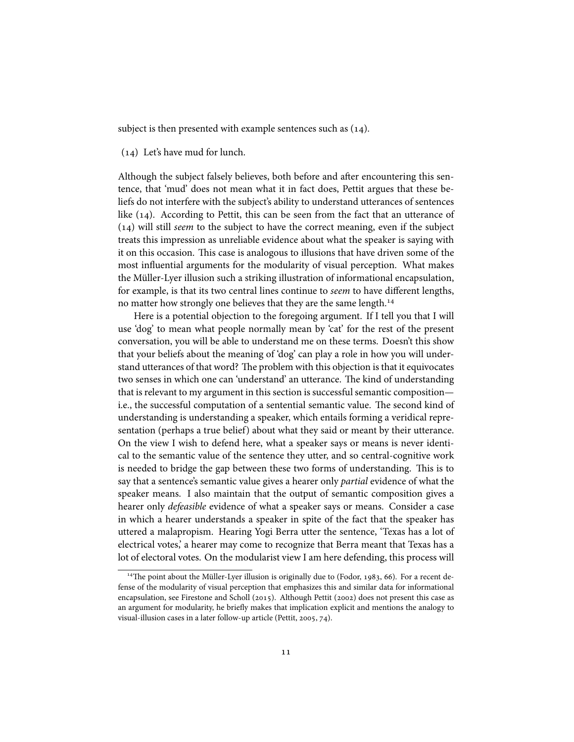subject is then presented with example sentences such as  $(14)$ .

 $(14)$  Let's have mud for lunch.

Although the subject falsely believes, both before and after encountering this sentence, that 'mud' does not mean what it in fact does, Pettit argues that these beliefs do not interfere with the subject's ability to understand utterances of sentences like  $(14)$ . According to Pettit, this can be seen from the fact that an utterance of () will still *seem* to the subject to have the correct meaning, even if the subject treats this impression as unreliable evidence about what the speaker is saying with it on this occasion. This case is analogous to illusions that have driven some of the most influential arguments for the modularity of visual perception. What makes the Müller-Lyer illusion such a striking illustration of informational encapsulation, for example, is that its two central lines continue to *seem* to have different lengths, no matter how strongly one believes that they are the same length.<sup>14</sup>

Here is a potential objection to the foregoing argument. If I tell you that I will use 'dog' to mean what people normally mean by 'cat' for the rest of the present conversation, you will be able to understand me on these terms. Doesn't this show that your beliefs about the meaning of 'dog' can play a role in how you will understand utterances of that word? The problem with this objection is that it equivocates two senses in which one can 'understand' an utterance. The kind of understanding that is relevant to my argument in this section is successful semantic composition i.e., the successful computation of a sentential semantic value. The second kind of understanding is understanding a speaker, which entails forming a veridical representation (perhaps a true belief) about what they said or meant by their utterance. On the view I wish to defend here, what a speaker says or means is never identical to the semantic value of the sentence they utter, and so central-cognitive work is needed to bridge the gap between these two forms of understanding. This is to say that a sentence's semantic value gives a hearer only *partial* evidence of what the speaker means. I also maintain that the output of semantic composition gives a hearer only *defeasible* evidence of what a speaker says or means. Consider a case in which a hearer understands a speaker in spite of the fact that the speaker has uttered a malapropism. Hearing Yogi Berra utter the sentence, 'Texas has a lot of electrical votes,' a hearer may come to recognize that Berra meant that Texas has a lot of electoral votes. On the modularist view I am here defending, this process will

 $14$ The point about the Müller-Lyer illusion is originally due to (Fodor, 1983, 66). For a recent defense of the modularity of visual perception that emphasizes this and similar data for informational encapsulation, see Firestone and Scholl (2015). Although Pettit (2002) does not present this case as an argument for modularity, he briefly makes that implication explicit and mentions the analogy to visual-illusion cases in a later follow-up article (Pettit, 2005, 74).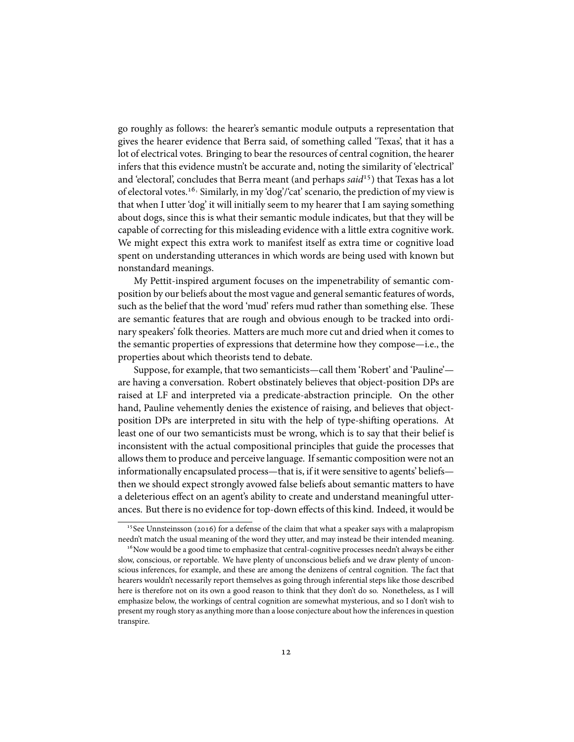go roughly as follows: the hearer's semantic module outputs a representation that gives the hearer evidence that Berra said, of something called 'Texas', that it has a lot of electrical votes. Bringing to bear the resources of central cognition, the hearer infers that this evidence mustn't be accurate and, noting the similarity of 'electrical' and 'electoral', concludes that Berra meant (and perhaps *said*<sup>15</sup>) that Texas has a lot of electoral votes.<sup>16,</sup> Similarly, in my 'dog'/'cat' scenario, the prediction of my view is that when I utter 'dog' it will initially seem to my hearer that I am saying something about dogs, since this is what their semantic module indicates, but that they will be capable of correcting for this misleading evidence with a little extra cognitive work. We might expect this extra work to manifest itself as extra time or cognitive load spent on understanding utterances in which words are being used with known but nonstandard meanings.

My Pettit-inspired argument focuses on the impenetrability of semantic composition by our beliefs about the most vague and general semantic features of words, such as the belief that the word 'mud' refers mud rather than something else. These are semantic features that are rough and obvious enough to be tracked into ordinary speakers' folk theories. Matters are much more cut and dried when it comes to the semantic properties of expressions that determine how they compose—i.e., the properties about which theorists tend to debate.

Suppose, for example, that two semanticists—call them 'Robert' and 'Pauline' are having a conversation. Robert obstinately believes that object-position DPs are raised at LF and interpreted via a predicate-abstraction principle. On the other hand, Pauline vehemently denies the existence of raising, and believes that objectposition DPs are interpreted in situ with the help of type-shifting operations. At least one of our two semanticists must be wrong, which is to say that their belief is inconsistent with the actual compositional principles that guide the processes that allows them to produce and perceive language. If semantic composition were not an informationally encapsulated process—that is, if it were sensitive to agents' beliefs then we should expect strongly avowed false beliefs about semantic matters to have a deleterious effect on an agent's ability to create and understand meaningful utterances. But there is no evidence for top-down effects of this kind. Indeed, it would be

<sup>&</sup>lt;sup>15</sup>See Unnsteinsson (2016) for a defense of the claim that what a speaker says with a malapropism needn't match the usual meaning of the word they utter, and may instead be their intended meaning.

 $16$ Now would be a good time to emphasize that central-cognitive processes needn't always be either slow, conscious, or reportable. We have plenty of unconscious beliefs and we draw plenty of unconscious inferences, for example, and these are among the denizens of central cognition. The fact that hearers wouldn't necessarily report themselves as going through inferential steps like those described here is therefore not on its own a good reason to think that they don't do so. Nonetheless, as I will emphasize below, the workings of central cognition are somewhat mysterious, and so I don't wish to present my rough story as anything more than a loose conjecture about how the inferences in question transpire.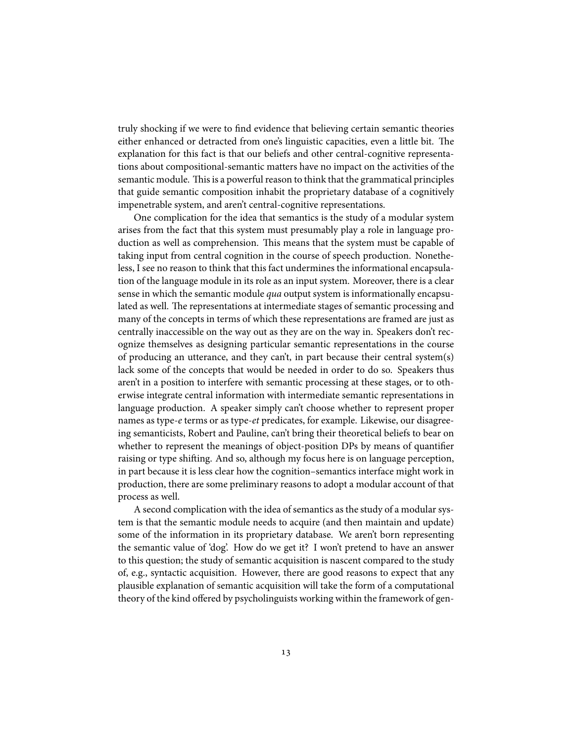truly shocking if we were to find evidence that believing certain semantic theories either enhanced or detracted from one's linguistic capacities, even a little bit. The explanation for this fact is that our beliefs and other central-cognitive representations about compositional-semantic matters have no impact on the activities of the semantic module. This is a powerful reason to think that the grammatical principles that guide semantic composition inhabit the proprietary database of a cognitively impenetrable system, and aren't central-cognitive representations.

One complication for the idea that semantics is the study of a modular system arises from the fact that this system must presumably play a role in language production as well as comprehension. This means that the system must be capable of taking input from central cognition in the course of speech production. Nonetheless, I see no reason to think that this fact undermines the informational encapsulation of the language module in its role as an input system. Moreover, there is a clear sense in which the semantic module *qua* output system is informationally encapsulated as well. The representations at intermediate stages of semantic processing and many of the concepts in terms of which these representations are framed are just as centrally inaccessible on the way out as they are on the way in. Speakers don't recognize themselves as designing particular semantic representations in the course of producing an utterance, and they can't, in part because their central system(s) lack some of the concepts that would be needed in order to do so. Speakers thus aren't in a position to interfere with semantic processing at these stages, or to otherwise integrate central information with intermediate semantic representations in language production. A speaker simply can't choose whether to represent proper names as type-*e* terms or as type-*et* predicates, for example. Likewise, our disagreeing semanticists, Robert and Pauline, can't bring their theoretical beliefs to bear on whether to represent the meanings of object-position DPs by means of quantifier raising or type shifting. And so, although my focus here is on language perception, in part because it is less clear how the cognition–semantics interface might work in production, there are some preliminary reasons to adopt a modular account of that process as well.

A second complication with the idea of semantics as the study of a modular system is that the semantic module needs to acquire (and then maintain and update) some of the information in its proprietary database. We aren't born representing the semantic value of 'dog'. How do we get it? I won't pretend to have an answer to this question; the study of semantic acquisition is nascent compared to the study of, e.g., syntactic acquisition. However, there are good reasons to expect that any plausible explanation of semantic acquisition will take the form of a computational theory of the kind offered by psycholinguists working within the framework of gen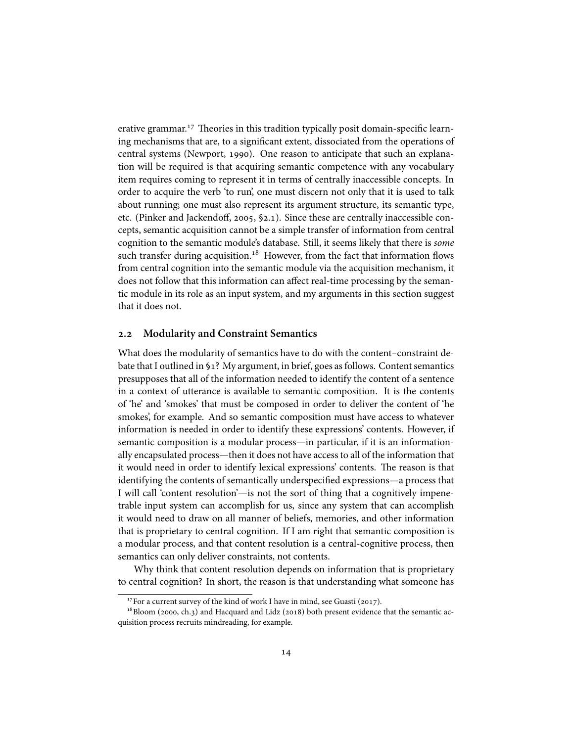erative grammar.<sup>17</sup> Theories in this tradition typically posit domain-specific learning mechanisms that are, to a significant extent, dissociated from the operations of central systems (Newport, 1990). One reason to anticipate that such an explanation will be required is that acquiring semantic competence with any vocabulary item requires coming to represent it in terms of centrally inaccessible concepts. In order to acquire the verb 'to run', one must discern not only that it is used to talk about running; one must also represent its argument structure, its semantic type, etc. (Pinker and Jackendoff, 2005,  $\S$ 2.1). Since these are centrally inaccessible concepts, semantic acquisition cannot be a simple transfer of information from central cognition to the semantic module's database. Still, it seems likely that there is *some* such transfer during acquisition.<sup>18</sup> However, from the fact that information flows from central cognition into the semantic module via the acquisition mechanism, it does not follow that this information can affect real-time processing by the semantic module in its role as an input system, and my arguments in this section suggest that it does not.

#### **. Modularity and Constraint Semantics**

What does the modularity of semantics have to do with the content–constraint debate that I outlined in §1? My argument, in brief, goes as follows. Content semantics presupposes that all of the information needed to identify the content of a sentence in a context of utterance is available to semantic composition. It is the contents of 'he' and 'smokes' that must be composed in order to deliver the content of 'he smokes', for example. And so semantic composition must have access to whatever information is needed in order to identify these expressions' contents. However, if semantic composition is a modular process—in particular, if it is an informationally encapsulated process—then it does not have access to all of the information that it would need in order to identify lexical expressions' contents. The reason is that identifying the contents of semantically underspecified expressions—a process that I will call 'content resolution'—is not the sort of thing that a cognitively impenetrable input system can accomplish for us, since any system that can accomplish it would need to draw on all manner of beliefs, memories, and other information that is proprietary to central cognition. If I am right that semantic composition is a modular process, and that content resolution is a central-cognitive process, then semantics can only deliver constraints, not contents.

Why think that content resolution depends on information that is proprietary to central cognition? In short, the reason is that understanding what someone has

 $17$  For a current survey of the kind of work I have in mind, see Guasti (2017).

 $18$ Bloom (2000, ch.3) and Hacquard and Lidz (2018) both present evidence that the semantic acquisition process recruits mindreading, for example.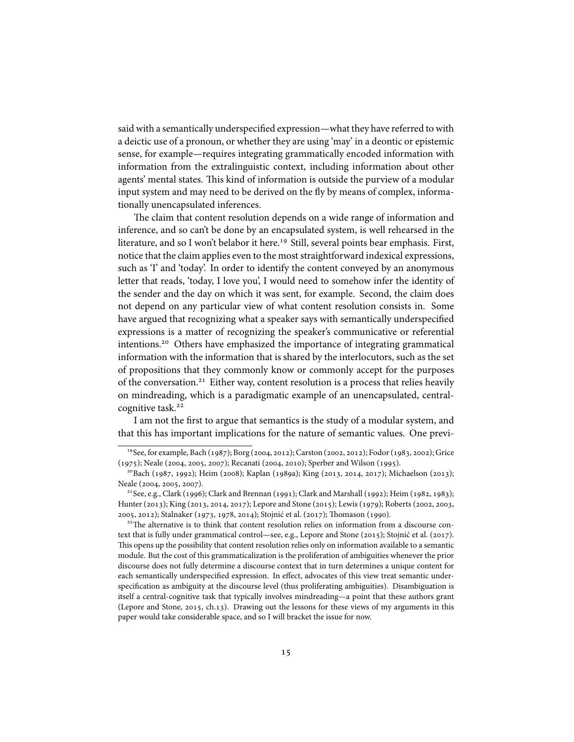said with a semantically underspecified expression—what they have referred to with a deictic use of a pronoun, or whether they are using 'may' in a deontic or epistemic sense, for example—requires integrating grammatically encoded information with information from the extralinguistic context, including information about other agents' mental states. This kind of information is outside the purview of a modular input system and may need to be derived on the fly by means of complex, informationally unencapsulated inferences.

The claim that content resolution depends on a wide range of information and inference, and so can't be done by an encapsulated system, is well rehearsed in the literature, and so I won't belabor it here.<sup>19</sup> Still, several points bear emphasis. First, notice that the claim applies even to the most straightforward indexical expressions, such as 'I' and 'today'. In order to identify the content conveyed by an anonymous letter that reads, 'today, I love you', I would need to somehow infer the identity of the sender and the day on which it was sent, for example. Second, the claim does not depend on any particular view of what content resolution consists in. Some have argued that recognizing what a speaker says with semantically underspecified expressions is a matter of recognizing the speaker's communicative or referential intentions.<sup>20</sup> Others have emphasized the importance of integrating grammatical information with the information that is shared by the interlocutors, such as the set of propositions that they commonly know or commonly accept for the purposes of the conversation.<sup>21</sup> Either way, content resolution is a process that relies heavily on mindreading, which is a paradigmatic example of an unencapsulated, centralcognitive task.

I am not the first to argue that semantics is the study of a modular system, and that this has important implications for the nature of semantic values. One previ-

<sup>&</sup>lt;sup>19</sup> See, for example, Bach (1987); Borg (2004, 2012); Carston (2002, 2012); Fodor (1983, 2002); Grice (1975); Neale (2004, 2005, 2007); Recanati (2004, 2010); Sperber and Wilson (1995).

<sup>&</sup>lt;sup>20</sup>Bach (1987, 1992); Heim (2008); Kaplan (1989a); King (2013, 2014, 2017); Michaelson (2013); Neale (2004, 2005, 2007).

 $^{21}$ See, e.g., Clark (1996); Clark and Brennan (1991); Clark and Marshall (1992); Heim (1982, 1983); Hunter (2013); King (2013, 2014, 2017); Lepore and Stone (2015); Lewis (1979); Roberts (2002, 2003, 2005, 2012); Stalnaker (1973, 1978, 2014); Stojnić et al. (2017); Thomason (1990).

 $22$ The alternative is to think that content resolution relies on information from a discourse context that is fully under grammatical control—see, e.g., Lepore and Stone (2015); Stojnić et al. (2017). This opens up the possibility that content resolution relies only on information available to a semantic module. But the cost of this grammaticalization is the proliferation of ambiguities whenever the prior discourse does not fully determine a discourse context that in turn determines a unique content for each semantically underspecified expression. In effect, advocates of this view treat semantic underspecification as ambiguity at the discourse level (thus proliferating ambiguities). Disambiguation is itself a central-cognitive task that typically involves mindreading—a point that these authors grant (Lepore and Stone,  $2015$ , ch.13). Drawing out the lessons for these views of my arguments in this paper would take considerable space, and so I will bracket the issue for now.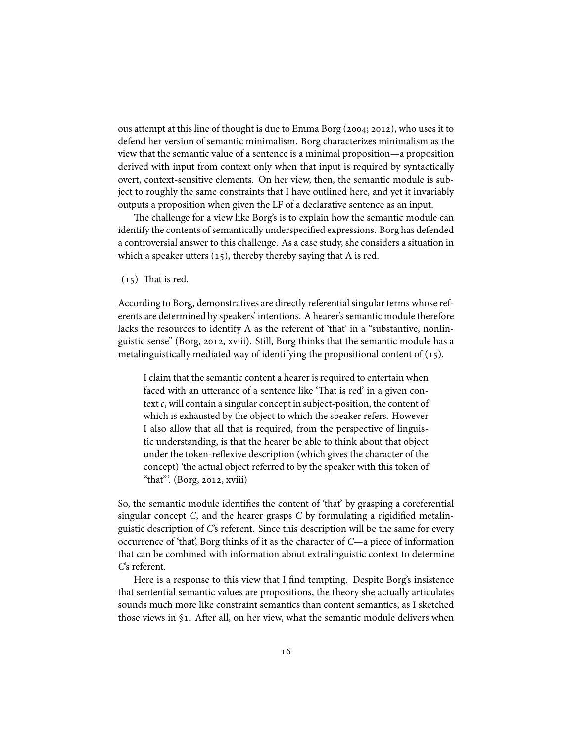ous attempt at this line of thought is due to Emma Borg (2004; 2012), who uses it to defend her version of semantic minimalism. Borg characterizes minimalism as the view that the semantic value of a sentence is a minimal proposition—a proposition derived with input from context only when that input is required by syntactically overt, context-sensitive elements. On her view, then, the semantic module is subject to roughly the same constraints that I have outlined here, and yet it invariably outputs a proposition when given the LF of a declarative sentence as an input.

The challenge for a view like Borg's is to explain how the semantic module can identify the contents of semantically underspecified expressions. Borg has defended a controversial answer to this challenge. As a case study, she considers a situation in which a speaker utters  $(15)$ , thereby thereby saying that A is red.

 $(15)$  That is red.

According to Borg, demonstratives are directly referential singular terms whose referents are determined by speakers' intentions. A hearer's semantic module therefore lacks the resources to identify A as the referent of 'that' in a "substantive, nonlinguistic sense" (Borg, 2012, xviii). Still, Borg thinks that the semantic module has a metalinguistically mediated way of identifying the propositional content of  $(15)$ .

I claim that the semantic content a hearer is required to entertain when faced with an utterance of a sentence like 'That is red' in a given context*c*, will contain a singular concept in subject-position, the content of which is exhausted by the object to which the speaker refers. However I also allow that all that is required, from the perspective of linguistic understanding, is that the hearer be able to think about that object under the token-reflexive description (which gives the character of the concept) 'the actual object referred to by the speaker with this token of "that". (Borg, 2012, xviii)

So, the semantic module identifies the content of 'that' by grasping a coreferential singular concept *C*, and the hearer grasps *C* by formulating a rigidified metalinguistic description of *C*'s referent. Since this description will be the same for every occurrence of 'that', Borg thinks of it as the character of *C*—a piece of information that can be combined with information about extralinguistic context to determine *C*'s referent.

Here is a response to this view that I find tempting. Despite Borg's insistence that sentential semantic values are propositions, the theory she actually articulates sounds much more like constraint semantics than content semantics, as I sketched those views in  $\S_1$ . After all, on her view, what the semantic module delivers when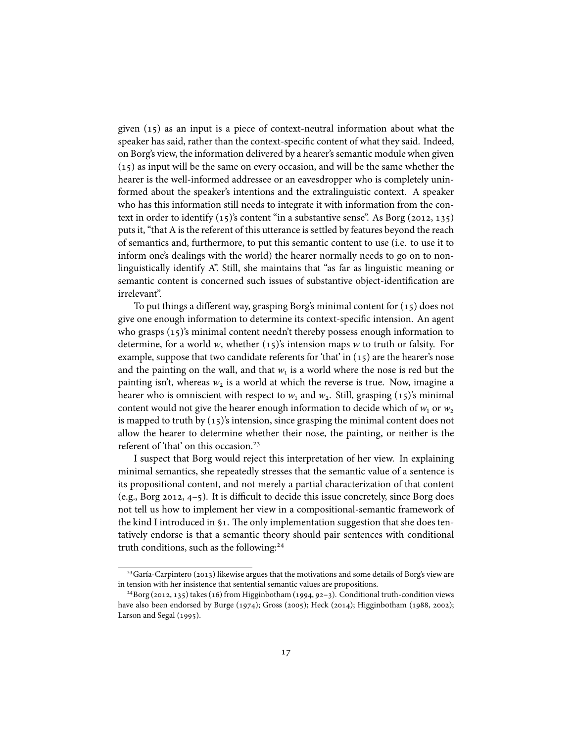given  $(15)$  as an input is a piece of context-neutral information about what the speaker has said, rather than the context-specific content of what they said. Indeed, on Borg's view, the information delivered by a hearer's semantic module when given  $(15)$  as input will be the same on every occasion, and will be the same whether the hearer is the well-informed addressee or an eavesdropper who is completely uninformed about the speaker's intentions and the extralinguistic context. A speaker who has this information still needs to integrate it with information from the context in order to identify  $(15)$ 's content "in a substantive sense". As Borg (2012, 135) puts it, "that A is the referent of this utterance is settled by features beyond the reach of semantics and, furthermore, to put this semantic content to use (i.e. to use it to inform one's dealings with the world) the hearer normally needs to go on to nonlinguistically identify A". Still, she maintains that "as far as linguistic meaning or semantic content is concerned such issues of substantive object-identification are irrelevant".

To put things a different way, grasping Borg's minimal content for  $(15)$  does not give one enough information to determine its context-specific intension. An agent who grasps  $(15)$ 's minimal content needn't thereby possess enough information to determine, for a world *w*, whether  $(15)$ 's intension maps *w* to truth or falsity. For example, suppose that two candidate referents for 'that' in  $(15)$  are the hearer's nose and the painting on the wall, and that  $w_1$  is a world where the nose is red but the painting isn't, whereas  $w_2$  is a world at which the reverse is true. Now, imagine a hearer who is omniscient with respect to  $w_1$  and  $w_2$ . Still, grasping (15)'s minimal content would not give the hearer enough information to decide which of  $w_1$  or  $w_2$ is mapped to truth by  $(15)$ 's intension, since grasping the minimal content does not allow the hearer to determine whether their nose, the painting, or neither is the referent of 'that' on this occasion.<sup>23</sup>

I suspect that Borg would reject this interpretation of her view. In explaining minimal semantics, she repeatedly stresses that the semantic value of a sentence is its propositional content, and not merely a partial characterization of that content (e.g., Borg 2012,  $4-5$ ). It is difficult to decide this issue concretely, since Borg does not tell us how to implement her view in a compositional-semantic framework of the kind I introduced in  $\S$ 1. The only implementation suggestion that she does tentatively endorse is that a semantic theory should pair sentences with conditional truth conditions, such as the following:

 $^{23}$ Garía-Carpintero (2013) likewise argues that the motivations and some details of Borg's view are in tension with her insistence that sentential semantic values are propositions.

<sup>&</sup>lt;sup>24</sup>Borg (2012, 135) takes (16) from Higginbotham (1994, 92-3). Conditional truth-condition views have also been endorsed by Burge (1974); Gross (2005); Heck (2014); Higginbotham (1988, 2002); Larson and Segal  $(1995)$ .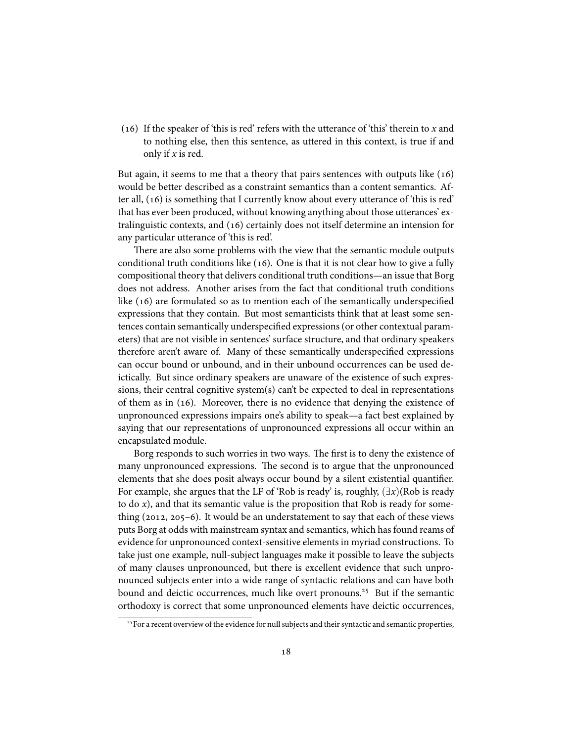() If the speaker of 'this is red' refers with the utterance of 'this' therein to *x* and to nothing else, then this sentence, as uttered in this context, is true if and only if *x* is red.

But again, it seems to me that a theory that pairs sentences with outputs like  $(16)$ would be better described as a constraint semantics than a content semantics. After all,  $(16)$  is something that I currently know about every utterance of 'this is red' that has ever been produced, without knowing anything about those utterances' extralinguistic contexts, and  $(16)$  certainly does not itself determine an intension for any particular utterance of 'this is red'.

There are also some problems with the view that the semantic module outputs conditional truth conditions like  $(16)$ . One is that it is not clear how to give a fully compositional theory that delivers conditional truth conditions—an issue that Borg does not address. Another arises from the fact that conditional truth conditions like  $(16)$  are formulated so as to mention each of the semantically underspecified expressions that they contain. But most semanticists think that at least some sentences contain semantically underspecified expressions (or other contextual parameters) that are not visible in sentences' surface structure, and that ordinary speakers therefore aren't aware of. Many of these semantically underspecified expressions can occur bound or unbound, and in their unbound occurrences can be used deictically. But since ordinary speakers are unaware of the existence of such expressions, their central cognitive system(s) can't be expected to deal in representations of them as in (16). Moreover, there is no evidence that denying the existence of unpronounced expressions impairs one's ability to speak—a fact best explained by saying that our representations of unpronounced expressions all occur within an encapsulated module.

Borg responds to such worries in two ways. The first is to deny the existence of many unpronounced expressions. The second is to argue that the unpronounced elements that she does posit always occur bound by a silent existential quantifier. For example, she argues that the LF of 'Rob is ready' is, roughly,  $(\exists x)(Rob$  is ready to do *x*), and that its semantic value is the proposition that Rob is ready for something  $(2012, 205-6)$ . It would be an understatement to say that each of these views puts Borg at odds with mainstream syntax and semantics, which has found reams of evidence for unpronounced context-sensitive elements in myriad constructions. To take just one example, null-subject languages make it possible to leave the subjects of many clauses unpronounced, but there is excellent evidence that such unpronounced subjects enter into a wide range of syntactic relations and can have both bound and deictic occurrences, much like overt pronouns.<sup>25</sup> But if the semantic orthodoxy is correct that some unpronounced elements have deictic occurrences,

<sup>&</sup>lt;sup>25</sup> For a recent overview of the evidence for null subjects and their syntactic and semantic properties,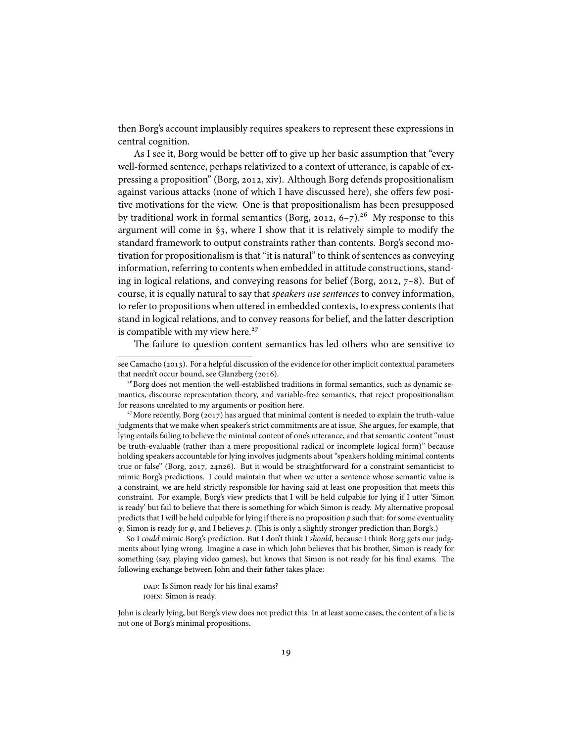then Borg's account implausibly requires speakers to represent these expressions in central cognition.

As I see it, Borg would be better off to give up her basic assumption that "every well-formed sentence, perhaps relativized to a context of utterance, is capable of expressing a proposition" (Borg, 2012, xiv). Although Borg defends propositionalism against various attacks (none of which I have discussed here), she offers few positive motivations for the view. One is that propositionalism has been presupposed by traditional work in formal semantics (Borg, 2012,  $6-7$ ).<sup>26</sup> My response to this argument will come in §3, where I show that it is relatively simple to modify the standard framework to output constraints rather than contents. Borg's second motivation for propositionalism is that "it is natural" to think of sentences as conveying information, referring to contents when embedded in attitude constructions, standing in logical relations, and conveying reasons for belief (Borg, 2012,  $7-8$ ). But of course, it is equally natural to say that *speakers use sentences* to convey information, to refer to propositions when uttered in embedded contexts, to express contents that stand in logical relations, and to convey reasons for belief, and the latter description is compatible with my view here.<sup>27</sup>

The failure to question content semantics has led others who are sensitive to

DAD: Is Simon ready for his final exams? john: Simon is ready.

John is clearly lying, but Borg's view does not predict this. In at least some cases, the content of a lie is not one of Borg's minimal propositions.

see Camacho (2013). For a helpful discussion of the evidence for other implicit contextual parameters that needn't occur bound, see Glanzberg (2016).

 $26$  Borg does not mention the well-established traditions in formal semantics, such as dynamic semantics, discourse representation theory, and variable-free semantics, that reject propositionalism for reasons unrelated to my arguments or position here.

<sup>&</sup>lt;sup>27</sup> More recently, Borg (2017) has argued that minimal content is needed to explain the truth-value judgments that we make when speaker's strict commitments are at issue. She argues, for example, that lying entails failing to believe the minimal content of one's utterance, and that semantic content "must be truth-evaluable (rather than a mere propositional radical or incomplete logical form)" because holding speakers accountable for lying involves judgments about "speakers holding minimal contents true or false" (Borg, 2017, 24n26). But it would be straightforward for a constraint semanticist to mimic Borg's predictions. I could maintain that when we utter a sentence whose semantic value is a constraint, we are held strictly responsible for having said at least one proposition that meets this constraint. For example, Borg's view predicts that I will be held culpable for lying if I utter 'Simon is ready' but fail to believe that there is something for which Simon is ready. My alternative proposal predicts that I will be held culpable for lying if there is no proposition *p* such that: for some eventuality *φ*, Simon is ready for *φ*, and I believes *p*. (This is only a slightly stronger prediction than Borg's.)

So I *could* mimic Borg's prediction. But I don't think I *should*, because I think Borg gets our judgments about lying wrong. Imagine a case in which John believes that his brother, Simon is ready for something (say, playing video games), but knows that Simon is not ready for his final exams. The following exchange between John and their father takes place: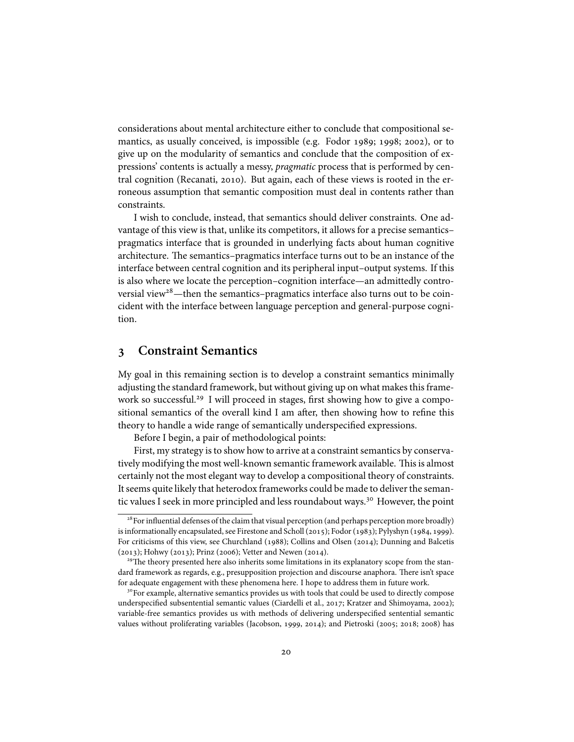considerations about mental architecture either to conclude that compositional semantics, as usually conceived, is impossible (e.g. Fodor 1989; 1998; 2002), or to give up on the modularity of semantics and conclude that the composition of expressions' contents is actually a messy, *pragmatic* process that is performed by central cognition (Recanati, 2010). But again, each of these views is rooted in the erroneous assumption that semantic composition must deal in contents rather than constraints.

I wish to conclude, instead, that semantics should deliver constraints. One advantage of this view is that, unlike its competitors, it allows for a precise semantics– pragmatics interface that is grounded in underlying facts about human cognitive architecture. The semantics–pragmatics interface turns out to be an instance of the interface between central cognition and its peripheral input–output systems. If this is also where we locate the perception–cognition interface—an admittedly controversial view<sup>28</sup>—then the semantics–pragmatics interface also turns out to be coincident with the interface between language perception and general-purpose cognition.

### **Constraint Semantics**

My goal in this remaining section is to develop a constraint semantics minimally adjusting the standard framework, but without giving up on what makes this framework so successful.<sup>29</sup> I will proceed in stages, first showing how to give a compositional semantics of the overall kind I am after, then showing how to refine this theory to handle a wide range of semantically underspecified expressions.

Before I begin, a pair of methodological points:

First, my strategy is to show how to arrive at a constraint semantics by conservatively modifying the most well-known semantic framework available. This is almost certainly not the most elegant way to develop a compositional theory of constraints. It seems quite likely that heterodox frameworks could be made to deliver the semantic values I seek in more principled and less roundabout ways.<sup>30</sup> However, the point

<sup>&</sup>lt;sup>28</sup> For influential defenses of the claim that visual perception (and perhaps perception more broadly) is informationally encapsulated, see Firestone and Scholl (2015); Fodor (1983); Pylyshyn (1984, 1999). For criticisms of this view, see Churchland (1988); Collins and Olsen (2014); Dunning and Balcetis  $(2013)$ ; Hohwy (2013); Prinz (2006); Vetter and Newen (2014).

<sup>&</sup>lt;sup>29</sup>The theory presented here also inherits some limitations in its explanatory scope from the standard framework as regards, e.g., presupposition projection and discourse anaphora. There isn't space for adequate engagement with these phenomena here. I hope to address them in future work.

<sup>&</sup>lt;sup>30</sup> For example, alternative semantics provides us with tools that could be used to directly compose underspecified subsentential semantic values (Ciardelli et al., 2017; Kratzer and Shimoyama, 2002); variable-free semantics provides us with methods of delivering underspecified sentential semantic values without proliferating variables (Jacobson, 1999, 2014); and Pietroski (2005; 2018; 2008) has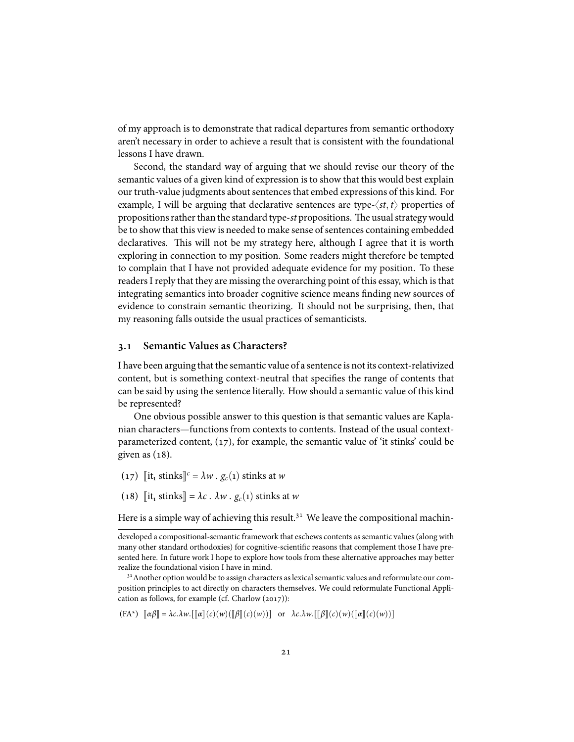of my approach is to demonstrate that radical departures from semantic orthodoxy aren't necessary in order to achieve a result that is consistent with the foundational lessons I have drawn.

Second, the standard way of arguing that we should revise our theory of the semantic values of a given kind of expression is to show that this would best explain our truth-value judgments about sentences that embed expressions of this kind. For example, I will be arguing that declarative sentences are type- $\langle st, t \rangle$  properties of propositions rather than the standard type-*st* propositions. The usual strategy would be to show that this view is needed to make sense of sentences containing embedded declaratives. This will not be my strategy here, although I agree that it is worth exploring in connection to my position. Some readers might therefore be tempted to complain that I have not provided adequate evidence for my position. To these readers I reply that they are missing the overarching point of this essay, which is that integrating semantics into broader cognitive science means finding new sources of evidence to constrain semantic theorizing. It should not be surprising, then, that my reasoning falls outside the usual practices of semanticists.

### **. Semantic Values as Characters?**

I have been arguing that the semantic value of a sentence is not its context-relativized content, but is something context-neutral that specifies the range of contents that can be said by using the sentence literally. How should a semantic value of this kind be represented?

One obvious possible answer to this question is that semantic values are Kaplanian characters—functions from contexts to contents. Instead of the usual contextparameterized content,  $(17)$ , for example, the semantic value of 'it stinks' could be given as  $(18)$ .

- $(17)$  [it<sub>1</sub> stinks]<sup>c</sup> =  $\lambda w \cdot g_c(1)$  stinks at *w*
- (18)  $\left[\exists t_1 \text{ stinks}\right] = \lambda c \cdot \lambda w \cdot g_c(1) \text{ stinks at } w$

Here is a simple way of achieving this result.<sup>31</sup> We leave the compositional machin-

 $[(FA^*) \ \llbracket \alpha \beta \rrbracket = \lambda c.\lambda w. [\llbracket \alpha \rrbracket(c)(w)(\llbracket \beta \rrbracket(c)(w))]$  or  $\lambda c.\lambda w. [\llbracket \beta \rrbracket(c)(w)(\llbracket \alpha \rrbracket(c)(w))]$ 

developed a compositional-semantic framework that eschews contents as semantic values (along with many other standard orthodoxies) for cognitive-scientific reasons that complement those I have presented here. In future work I hope to explore how tools from these alternative approaches may better realize the foundational vision I have in mind.

 $31$  Another option would be to assign characters as lexical semantic values and reformulate our composition principles to act directly on characters themselves. We could reformulate Functional Application as follows, for example (cf. Charlow  $(2017)$ ):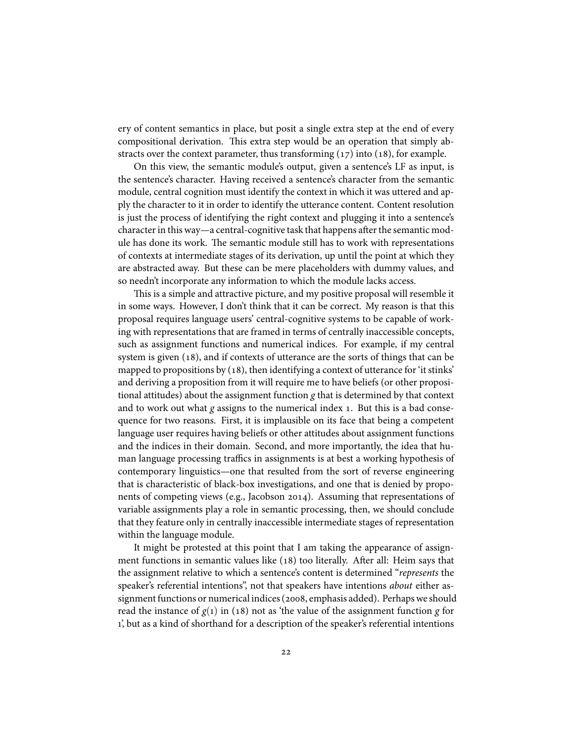ery of content semantics in place, but posit a single extra step at the end of every compositional derivation. This extra step would be an operation that simply abstracts over the context parameter, thus transforming  $(17)$  into  $(18)$ , for example.

On this view, the semantic module's output, given a sentence's LF as input, is the sentence's character. Having received a sentence's character from the semantic module, central cognition must identify the context in which it was uttered and apply the character to it in order to identify the utterance content. Content resolution is just the process of identifying the right context and plugging it into a sentence's character in this way—a central-cognitive task that happens after the semantic module has done its work. The semantic module still has to work with representations of contexts at intermediate stages of its derivation, up until the point at which they are abstracted away. But these can be mere placeholders with dummy values, and so needn't incorporate any information to which the module lacks access.

This is a simple and attractive picture, and my positive proposal will resemble it in some ways. However, I don't think that it can be correct. My reason is that this proposal requires language users' central-cognitive systems to be capable of working with representations that are framed in terms of centrally inaccessible concepts, such as assignment functions and numerical indices. For example, if my central system is given  $(18)$ , and if contexts of utterance are the sorts of things that can be mapped to propositions by  $(18)$ , then identifying a context of utterance for 'it stinks' and deriving a proposition from it will require me to have beliefs (or other propositional attitudes) about the assignment function *g* that is determined by that context and to work out what *g* assigns to the numerical index 1. But this is a bad consequence for two reasons. First, it is implausible on its face that being a competent language user requires having beliefs or other attitudes about assignment functions and the indices in their domain. Second, and more importantly, the idea that human language processing traffics in assignments is at best a working hypothesis of contemporary linguistics—one that resulted from the sort of reverse engineering that is characteristic of black-box investigations, and one that is denied by proponents of competing views (e.g., Jacobson 2014). Assuming that representations of variable assignments play a role in semantic processing, then, we should conclude that they feature only in centrally inaccessible intermediate stages of representation within the language module.

It might be protested at this point that I am taking the appearance of assignment functions in semantic values like (18) too literally. After all: Heim says that the assignment relative to which a sentence's content is determined "*represents* the speaker's referential intentions", not that speakers have intentions *about* either assignment functions or numerical indices (2008, emphasis added). Perhaps we should read the instance of  $g(1)$  in (18) not as 'the value of the assignment function *g* for 1', but as a kind of shorthand for a description of the speaker's referential intentions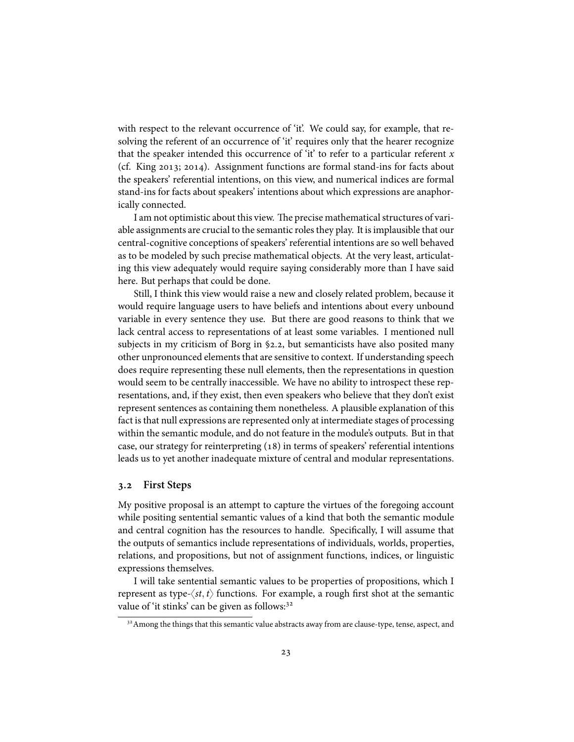with respect to the relevant occurrence of 'it'. We could say, for example, that resolving the referent of an occurrence of 'it' requires only that the hearer recognize that the speaker intended this occurrence of 'it' to refer to a particular referent *x* (cf. King  $2013$ ;  $2014$ ). Assignment functions are formal stand-ins for facts about the speakers' referential intentions, on this view, and numerical indices are formal stand-ins for facts about speakers' intentions about which expressions are anaphorically connected.

I am not optimistic about this view. The precise mathematical structures of variable assignments are crucial to the semantic roles they play. It is implausible that our central-cognitive conceptions of speakers' referential intentions are so well behaved as to be modeled by such precise mathematical objects. At the very least, articulating this view adequately would require saying considerably more than I have said here. But perhaps that could be done.

Still, I think this view would raise a new and closely related problem, because it would require language users to have beliefs and intentions about every unbound variable in every sentence they use. But there are good reasons to think that we lack central access to representations of at least some variables. I mentioned null subjects in my criticism of Borg in  $\S$ 2.2, but semanticists have also posited many other unpronounced elements that are sensitive to context. If understanding speech does require representing these null elements, then the representations in question would seem to be centrally inaccessible. We have no ability to introspect these representations, and, if they exist, then even speakers who believe that they don't exist represent sentences as containing them nonetheless. A plausible explanation of this fact is that null expressions are represented only at intermediate stages of processing within the semantic module, and do not feature in the module's outputs. But in that case, our strategy for reinterpreting  $(18)$  in terms of speakers' referential intentions leads us to yet another inadequate mixture of central and modular representations.

### **. First Steps**

My positive proposal is an attempt to capture the virtues of the foregoing account while positing sentential semantic values of a kind that both the semantic module and central cognition has the resources to handle. Specifically, I will assume that the outputs of semantics include representations of individuals, worlds, properties, relations, and propositions, but not of assignment functions, indices, or linguistic expressions themselves.

I will take sentential semantic values to be properties of propositions, which I represent as type- $\langle st, t \rangle$  functions. For example, a rough first shot at the semantic value of 'it stinks' can be given as follows:<sup>32</sup>

<sup>&</sup>lt;sup>32</sup> Among the things that this semantic value abstracts away from are clause-type, tense, aspect, and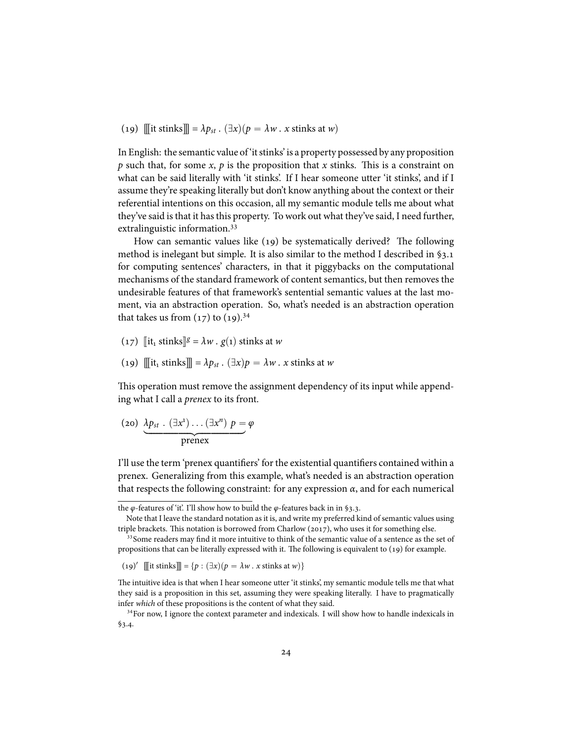(19)  $\lim_{x \to a} \ln \left( \frac{1}{x} \right) = \lambda p_{st}$ .  $(\exists x)(p = \lambda w \cdot x \text{ stinks at } w)$ 

In English: the semantic value of 'it stinks' is a property possessed by any proposition *p* such that, for some *x*, *p* is the proposition that *x* stinks. This is a constraint on what can be said literally with 'it stinks'. If I hear someone utter 'it stinks', and if I assume they're speaking literally but don't know anything about the context or their referential intentions on this occasion, all my semantic module tells me about what they've said is that it has this property. To work out what they've said, I need further, extralinguistic information.

How can semantic values like  $(19)$  be systematically derived? The following method is inelegant but simple. It is also similar to the method I described in  $\S$ 3.1 for computing sentences' characters, in that it piggybacks on the computational mechanisms of the standard framework of content semantics, but then removes the undesirable features of that framework's sentential semantic values at the last moment, via an abstraction operation. So, what's needed is an abstraction operation that takes us from  $(17)$  to  $(19).$ <sup>34</sup>

- $(17)$  [it<sub>1</sub> stinks]<sup>*g*</sup> =  $\lambda w$ . *g*(1) stinks at *w*
- (19)  $\Vert \Vert$ it<sub>1</sub> stinks $\Vert \Vert = \lambda p_{st}$ .  $(\exists x)p = \lambda w$ . *x* stinks at *w*

This operation must remove the assignment dependency of its input while appending what I call a *prenex* to its front.

$$
(20) \underbrace{\lambda p_{st} \cdot (\exists x^{1}) \dots (\exists x^{n}) p = \varphi}_{\text{prenex}}
$$

I'll use the term 'prenex quantifiers' for the existential quantifiers contained within a prenex. Generalizing from this example, what's needed is an abstraction operation that respects the following constraint: for any expression *α*, and for each numerical

the *φ*-features of 'it'. I'll show how to build the *φ*-features back in in §3.3.

Note that I leave the standard notation as it is, and write my preferred kind of semantic values using triple brackets. This notation is borrowed from Charlow  $(2017)$ , who uses it for something else.

<sup>&</sup>lt;sup>33</sup> Some readers may find it more intuitive to think of the semantic value of a sentence as the set of propositions that can be literally expressed with it. The following is equivalent to  $(19)$  for example.

<sup>(19)&</sup>lt;sup> $\prime$ </sup> [[it stinks]] = { $p : (\exists x)(p = \lambda w \cdot x \text{ stinks at } w)$ }

The intuitive idea is that when I hear someone utter 'it stinks', my semantic module tells me that what they said is a proposition in this set, assuming they were speaking literally. I have to pragmatically infer *which* of these propositions is the content of what they said.

 $34$  For now, I ignore the context parameter and indexicals. I will show how to handle indexicals in  $$3.4.$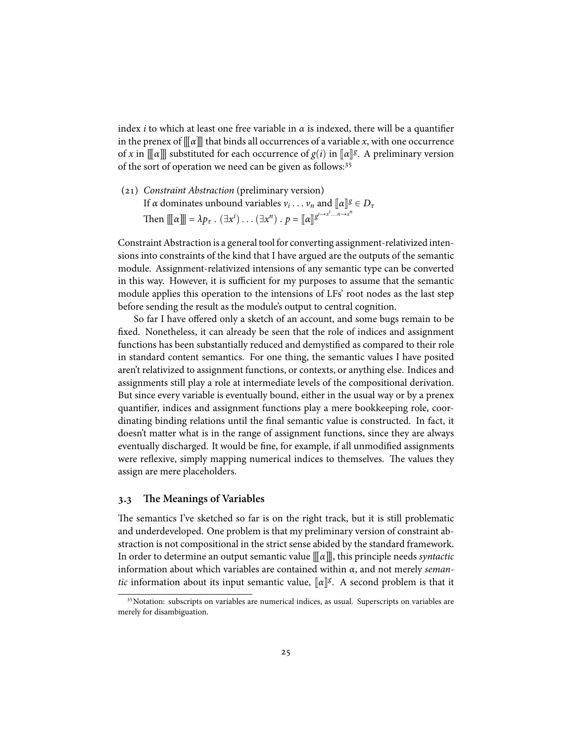index *i* to which at least one free variable in  $\alpha$  is indexed, there will be a quantifier in the prenex of  $\sqrt{\alpha}$  that binds all occurrences of a variable *x*, with one occurrence of *x* in  $\llbracket \alpha \rrbracket$  substituted for each occurrence of *g*(*i*) in  $\llbracket \alpha \rrbracket$ <sup>g</sup>. A preliminary version of the sort of operation we need can be given as follows:<sup>35</sup>

() *Constraint Abstraction* (preliminary version) If *α* dominates unbound variables  $v_i \dots v_n$  and  $[\![ \alpha ] \!]^g \in D_{\tau}$ Then  $\mathbb{I}[a]\mathbb{I} = \lambda p_{\tau}$ .  $(\exists x^{i}) \dots (\exists x^{n}) \cdot p = [\![a]\!]^{g^{i \rightarrow x^{i} \dots n \rightarrow x^{n}}}$ 

Constraint Abstraction is a general tool for converting assignment-relativized intensions into constraints of the kind that I have argued are the outputs of the semantic module. Assignment-relativized intensions of any semantic type can be converted in this way. However, it is sufficient for my purposes to assume that the semantic module applies this operation to the intensions of LFs' root nodes as the last step before sending the result as the module's output to central cognition.

So far I have offered only a sketch of an account, and some bugs remain to be fixed. Nonetheless, it can already be seen that the role of indices and assignment functions has been substantially reduced and demystified as compared to their role in standard content semantics. For one thing, the semantic values I have posited aren't relativized to assignment functions, or contexts, or anything else. Indices and assignments still play a role at intermediate levels of the compositional derivation. But since every variable is eventually bound, either in the usual way or by a prenex quantifier, indices and assignment functions play a mere bookkeeping role, coordinating binding relations until the final semantic value is constructed. In fact, it doesn't matter what is in the range of assignment functions, since they are always eventually discharged. It would be fine, for example, if all unmodified assignments were reflexive, simply mapping numerical indices to themselves. The values they assign are mere placeholders.

### **. The Meanings of Variables**

The semantics I've sketched so far is on the right track, but it is still problematic and underdeveloped. One problem is that my preliminary version of constraint abstraction is not compositional in the strict sense abided by the standard framework. In order to determine an output semantic value  $\llbracket \alpha \rrbracket$ , this principle needs *syntactic* information about which variables are contained within *α*, and not merely *semantic* information about its input semantic value,  $\lbrack \! \lbrack \alpha \rbrack \! \rbrack^g$ . A second problem is that it

<sup>&</sup>lt;sup>35</sup> Notation: subscripts on variables are numerical indices, as usual. Superscripts on variables are merely for disambiguation.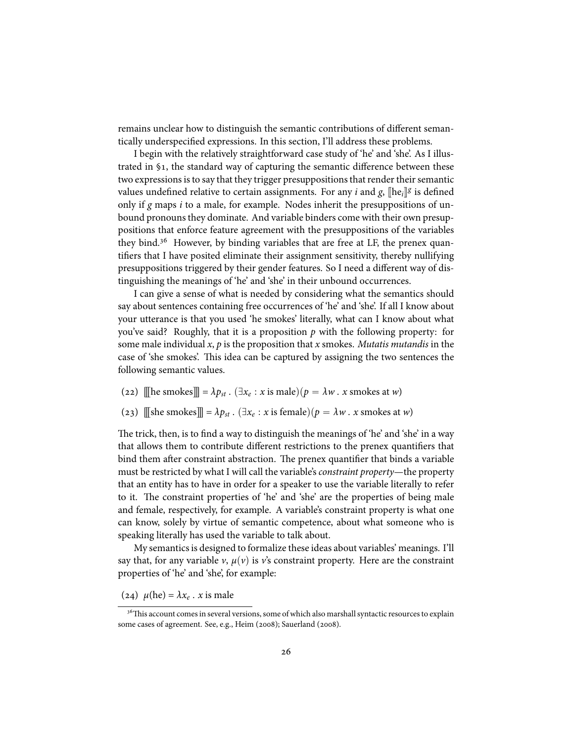remains unclear how to distinguish the semantic contributions of different semantically underspecified expressions. In this section, I'll address these problems.

I begin with the relatively straightforward case study of 'he' and 'she'. As I illustrated in §1, the standard way of capturing the semantic difference between these two expressions is to say that they trigger presuppositions that render their semantic values undefined relative to certain assignments. For any *i* and *g*,  $[\text{he}_i]$ <sup>*g*</sup> is defined only if *g* maps *i* to a male, for example. Nodes inherit the presuppositions of unbound pronouns they dominate. And variable binders come with their own presuppositions that enforce feature agreement with the presuppositions of the variables they bind.<sup>36</sup> However, by binding variables that are free at LF, the prenex quantifiers that I have posited eliminate their assignment sensitivity, thereby nullifying presuppositions triggered by their gender features. So I need a different way of distinguishing the meanings of 'he' and 'she' in their unbound occurrences.

I can give a sense of what is needed by considering what the semantics should say about sentences containing free occurrences of 'he' and 'she'. If all I know about your utterance is that you used 'he smokes' literally, what can I know about what you've said? Roughly, that it is a proposition *p* with the following property: for some male individual *x*, *p* is the proposition that *x* smokes. *Mutatis mutandis* in the case of 'she smokes'. This idea can be captured by assigning the two sentences the following semantic values.

- (22)  $\mathbb{I}$  he smokes $\mathbb{I} = \lambda p_{st}$ .  $(\exists x_e : x \text{ is male})(p = \lambda w \cdot x \text{ smokers at } w)$
- (23)  $[\![\![\text{she smokes}]\!] = \lambda p_{st}$ .  $(\exists x_e : x \text{ is female})(p = \lambda w \cdot x \text{ smokes at } w)$

The trick, then, is to find a way to distinguish the meanings of 'he' and 'she' in a way that allows them to contribute different restrictions to the prenex quantifiers that bind them after constraint abstraction. The prenex quantifier that binds a variable must be restricted by what I will call the variable's *constraint property*—the property that an entity has to have in order for a speaker to use the variable literally to refer to it. The constraint properties of 'he' and 'she' are the properties of being male and female, respectively, for example. A variable's constraint property is what one can know, solely by virtue of semantic competence, about what someone who is speaking literally has used the variable to talk about.

My semantics is designed to formalize these ideas about variables' meanings. I'll say that, for any variable  $\nu$ ,  $\mu(\nu)$  is  $\nu$ 's constraint property. Here are the constraint properties of 'he' and 'she', for example:

(24)  $\mu$ (he) =  $\lambda x_e$ . *x* is male

<sup>&</sup>lt;sup>36</sup>This account comes in several versions, some of which also marshall syntactic resources to explain some cases of agreement. See, e.g., Heim (2008); Sauerland (2008).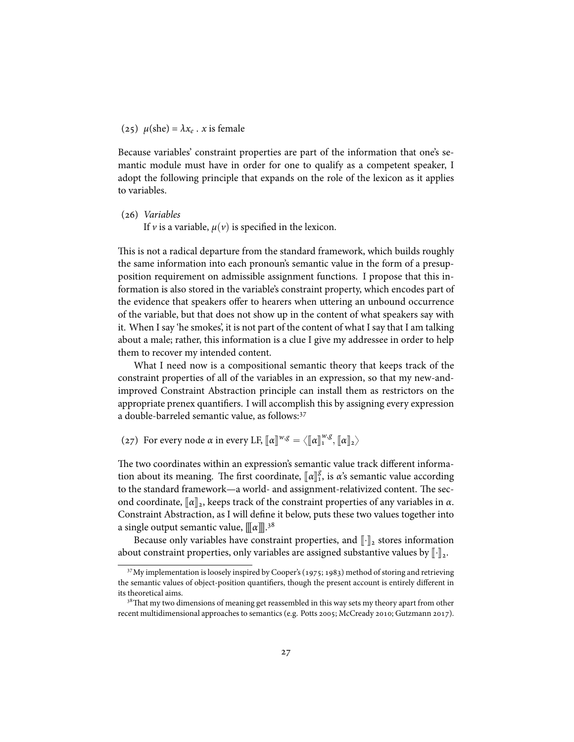(25)  $\mu$ (she) =  $\lambda x_e$ . *x* is female

Because variables' constraint properties are part of the information that one's semantic module must have in order for one to qualify as a competent speaker, I adopt the following principle that expands on the role of the lexicon as it applies to variables.

() *Variables* If *v* is a variable,  $\mu(\nu)$  is specified in the lexicon.

This is not a radical departure from the standard framework, which builds roughly the same information into each pronoun's semantic value in the form of a presupposition requirement on admissible assignment functions. I propose that this information is also stored in the variable's constraint property, which encodes part of the evidence that speakers offer to hearers when uttering an unbound occurrence of the variable, but that does not show up in the content of what speakers say with it. When I say 'he smokes', it is not part of the content of what I say that I am talking about a male; rather, this information is a clue I give my addressee in order to help them to recover my intended content.

What I need now is a compositional semantic theory that keeps track of the constraint properties of all of the variables in an expression, so that my new-andimproved Constraint Abstraction principle can install them as restrictors on the appropriate prenex quantifiers. I will accomplish this by assigning every expression a double-barreled semantic value, as follows:

(27) For every node *α* in every LF,  $[\![\alpha]\!]^{w,g} = \langle [\![\alpha]\!]_1^{w,g}, [\![\alpha]\!]_2 \rangle$ 

The two coordinates within an expression's semantic value track different information about its meaning. The first coordinate,  $[\![\alpha]\!]_1^g$ , is *α*'s semantic value according to the standard framework—a world- and assignment-relativized content. The second coordinate,  $\llbracket \alpha \rrbracket_2$ , keeps track of the constraint properties of any variables in  $\alpha$ . Constraint Abstraction, as I will define it below, puts these two values together into a single output semantic value,  $\llbracket\alpha\rrbracket^{.38}$ 

Because only variables have constraint properties, and  $\lbrack \cdot \rbrack$ <sub>2</sub> stores information about constraint properties, only variables are assigned substantive values by  $\lVert \cdot \rVert_2$ .

 $37$  My implementation is loosely inspired by Cooper's (1975; 1983) method of storing and retrieving the semantic values of object-position quantifiers, though the present account is entirely different in its theoretical aims.

<sup>&</sup>lt;sup>38</sup>That my two dimensions of meaning get reassembled in this way sets my theory apart from other recent multidimensional approaches to semantics (e.g. Potts 2005; McCready 2010; Gutzmann 2017).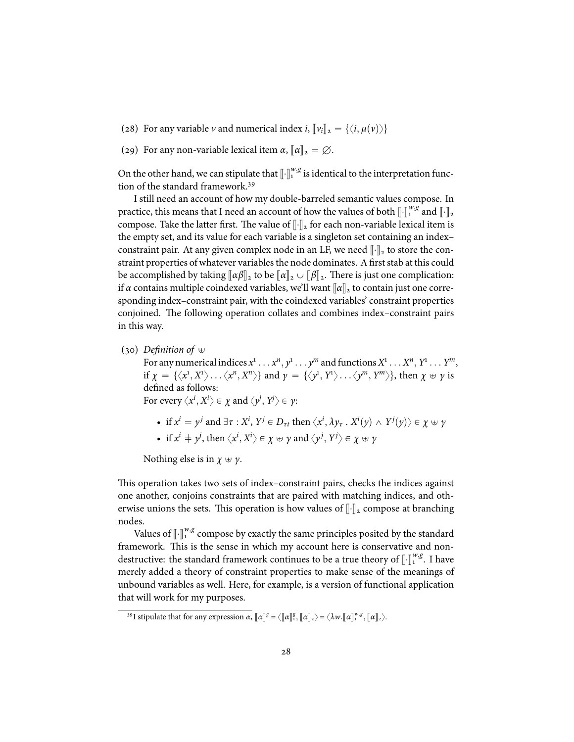- (28) For any variable *v* and numerical index *i*,  $\llbracket v_i \rrbracket_2 = \{ \langle i, \mu(v) \rangle \}$
- (29) For any non-variable lexical item  $\alpha$ ,  $\llbracket \alpha \rrbracket_2 = \emptyset$ .

On the other hand, we can stipulate that  $\llbracket \cdot \rrbracket^{w,g}$  is identical to the interpretation function of the standard framework.<sup>39</sup>

I still need an account of how my double-barreled semantic values compose. In practice, this means that I need an account of how the values of both  $\llbracket \cdot \rrbracket^{w,g}$  and  $\llbracket \cdot \rrbracket_2$ compose. Take the latter first. The value of  $\llbracket \cdot \rrbracket_2$  for each non-variable lexical item is the empty set, and its value for each variable is a singleton set containing an index– constraint pair. At any given complex node in an LF, we need  $\lVert \cdot \rVert_2$  to store the constraint properties of whatever variables the node dominates. A first stab at this could be accomplished by taking  $\llbracket \alpha \beta \rrbracket_2$  to be  $\llbracket \alpha \rrbracket_2 \cup \llbracket \beta \rrbracket_2$ . There is just one complication: if *α* contains multiple coindexed variables, we'll want  $\llbracket \alpha \rrbracket_2$  to contain just one corresponding index–constraint pair, with the coindexed variables' constraint properties conjoined. The following operation collates and combines index–constraint pairs in this way.

(30) *Definition of*  $\oplus$ 

For any numerical indices  $x^1 \dots x^n, y^1 \dots y^m$  and functions  $X^1 \dots X^n, Y^1 \dots Y^m$ , if  $\chi = {\langle x^1, X^1 \rangle \dots \langle x^n, X^n \rangle}$  and  $\gamma = {\langle y^1, Y^1 \rangle \dots \langle y^m, Y^m \rangle}$ , then  $\chi \uplus \gamma$  is defined as follows: For every  $\left\langle x^i,X^i\right\rangle \in \chi$  and  $\left\langle y^j,Y^j\right\rangle \in \gamma$ :

- if  $x^i = y^j$  and  $\exists \tau : X^i$ ,  $Y^j \in D_{\tau t}$  then  $\langle x^i, \lambda y_{\tau}$  .  $X^i(y) \wedge Y^j(y) \rangle \in \chi \uplus \gamma$
- if  $x^i \neq y^j$ , then  $\langle x^i, X^i \rangle \in \chi \oplus \gamma$  and  $\langle y^j, Y^j \rangle \in \chi \oplus \gamma$

Nothing else is in  $\chi \oplus \gamma$ .

This operation takes two sets of index–constraint pairs, checks the indices against one another, conjoins constraints that are paired with matching indices, and otherwise unions the sets. This operation is how values of  $\lbrack \cdot \rbrack$ <sub>2</sub> compose at branching nodes.

Values of  $\left[\int_1^{w,g}$  compose by exactly the same principles posited by the standard framework. This is the sense in which my account here is conservative and nondestructive: the standard framework continues to be a true theory of  $\llbracket \cdot \rrbracket^{w,g}$ . I have merely added a theory of constraint properties to make sense of the meanings of unbound variables as well. Here, for example, is a version of functional application that will work for my purposes.

**<sup>39</sup>I** stipulate that for any expression *α*,  $[\![\alpha]\!]$ <sup>*g*</sup> =  $\langle [\![\alpha]\!]$ <sup>*g*</sup><sub>1</sub>,  $[\![\alpha]\!]$ <sub>2</sub>,  $\rangle$  =  $\langle \lambda w$ . $[\![\alpha]\!]$ <sub>2</sub><sup>*w*</sup>,  $[\![\alpha]\!]$ <sub>2</sub> $\rangle$ .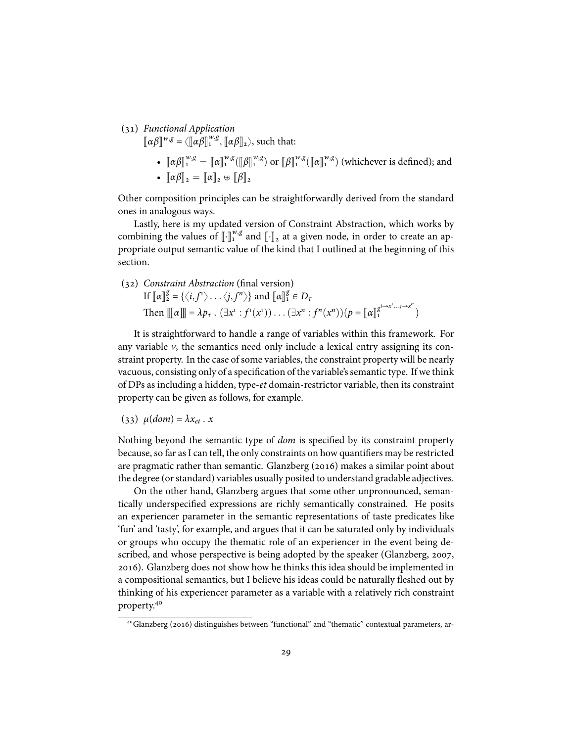() *Functional Application*

 $[\![\alpha\beta]\!]^{w,g} = \langle [\![\alpha\beta]\!]_1^{w,g}, [\![\alpha\beta]\!]_2 \rangle$ , such that:

•  $[\![\alpha\beta]\!]^{w,g} = [\![\alpha]\!]^{w,g} ([\![\beta]\!]^{w,g})$  or  $[\![\beta]\!]^{w,g} ([\![\alpha]\!]^{w,g})$  (whichever is defined); and •  $\llbracket \alpha \beta \rrbracket_2 = \llbracket \alpha \rrbracket_2 \oplus \llbracket \beta \rrbracket_2$ 

Other composition principles can be straightforwardly derived from the standard ones in analogous ways.

Lastly, here is my updated version of Constraint Abstraction, which works by combining the values of  $\llbracket \cdot \rrbracket_{\alpha}^w$  and  $\llbracket \cdot \rrbracket_2$  at a given node, in order to create an appropriate output semantic value of the kind that I outlined at the beginning of this section.

() *Constraint Abstraction* (final version) If  $[\![\alpha]\!]_2^g = \{ \langle i, f^1 \rangle \dots \langle j, f^n \rangle \}$  and  $[\![\alpha]\!]_1^g \in D_\tau$ Then  $\[\![\![\alpha]\!] \]= \lambda p_{\tau}$ .  $(\exists x^1 : f^1(x^1)) \dots (\exists x^n : f^n(x^n)) (p = [\![\alpha]\!]_1^{g^{i \to x^1} \dots j \to x^n}$ 

It is straightforward to handle a range of variables within this framework. For any variable  $\nu$ , the semantics need only include a lexical entry assigning its constraint property. In the case of some variables, the constraint property will be nearly vacuous, consisting only of a specification of the variable's semantic type. If we think of DPs as including a hidden, type-*et* domain-restrictor variable, then its constraint property can be given as follows, for example.

$$
(33) \mu(dom) = \lambda x_{et} . x
$$

Nothing beyond the semantic type of *dom* is specified by its constraint property because, so far as I can tell, the only constraints on how quantifiers may be restricted are pragmatic rather than semantic. Glanzberg  $(2016)$  makes a similar point about the degree (or standard) variables usually posited to understand gradable adjectives.

On the other hand, Glanzberg argues that some other unpronounced, semantically underspecified expressions are richly semantically constrained. He posits an experiencer parameter in the semantic representations of taste predicates like 'fun' and 'tasty', for example, and argues that it can be saturated only by individuals or groups who occupy the thematic role of an experiencer in the event being described, and whose perspective is being adopted by the speaker (Glanzberg, 2007, ). Glanzberg does not show how he thinks this idea should be implemented in a compositional semantics, but I believe his ideas could be naturally fleshed out by thinking of his experiencer parameter as a variable with a relatively rich constraint property.

<sup>&</sup>lt;sup>40</sup>Glanzberg (2016) distinguishes between "functional" and "thematic" contextual parameters, ar-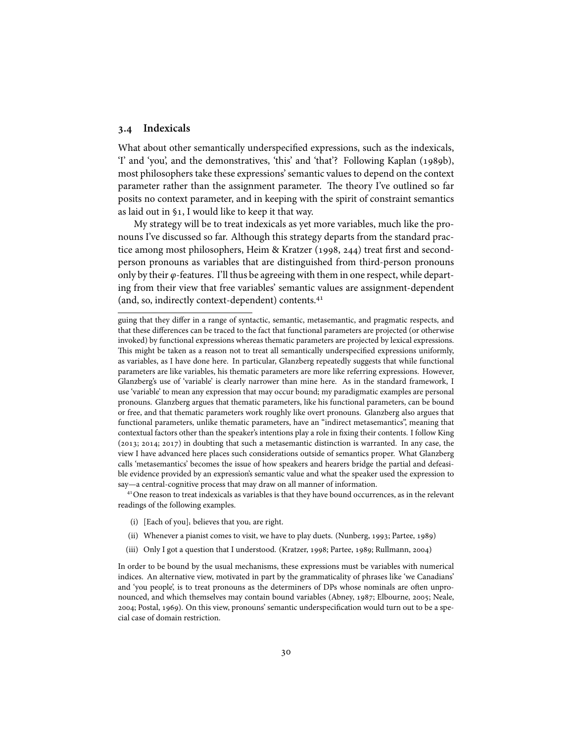### **. Indexicals**

What about other semantically underspecified expressions, such as the indexicals, 'I' and 'you', and the demonstratives, 'this' and 'that'? Following Kaplan (1989b), most philosophers take these expressions' semantic values to depend on the context parameter rather than the assignment parameter. The theory I've outlined so far posits no context parameter, and in keeping with the spirit of constraint semantics as laid out in §1, I would like to keep it that way.

My strategy will be to treat indexicals as yet more variables, much like the pronouns I've discussed so far. Although this strategy departs from the standard practice among most philosophers, Heim & Kratzer  $(1998, 244)$  treat first and secondperson pronouns as variables that are distinguished from third-person pronouns only by their *φ*-features. I'll thus be agreeing with them in one respect, while departing from their view that free variables' semantic values are assignment-dependent (and, so, indirectly context-dependent) contents.

<sup>41</sup> One reason to treat indexicals as variables is that they have bound occurrences, as in the relevant readings of the following examples.

- (i) [Each of you], believes that you, are right.
- (ii) Whenever a pianist comes to visit, we have to play duets. (Nunberg, 1993; Partee, 1989)
- (iii) Only I got a question that I understood. (Kratzer, 1998; Partee, 1989; Rullmann, 2004)

In order to be bound by the usual mechanisms, these expressions must be variables with numerical indices. An alternative view, motivated in part by the grammaticality of phrases like 'we Canadians' and 'you people', is to treat pronouns as the determiners of DPs whose nominals are often unpronounced, and which themselves may contain bound variables (Abney, 1987; Elbourne, 2005; Neale, ; Postal, ). On this view, pronouns' semantic underspecification would turn out to be a special case of domain restriction.

guing that they differ in a range of syntactic, semantic, metasemantic, and pragmatic respects, and that these differences can be traced to the fact that functional parameters are projected (or otherwise invoked) by functional expressions whereas thematic parameters are projected by lexical expressions. This might be taken as a reason not to treat all semantically underspecified expressions uniformly, as variables, as I have done here. In particular, Glanzberg repeatedly suggests that while functional parameters are like variables, his thematic parameters are more like referring expressions. However, Glanzberg's use of 'variable' is clearly narrower than mine here. As in the standard framework, I use 'variable' to mean any expression that may occur bound; my paradigmatic examples are personal pronouns. Glanzberg argues that thematic parameters, like his functional parameters, can be bound or free, and that thematic parameters work roughly like overt pronouns. Glanzberg also argues that functional parameters, unlike thematic parameters, have an "indirect metasemantics", meaning that contextual factors other than the speaker's intentions play a role in fixing their contents. I follow King  $(2013; 2014; 2017)$  in doubting that such a metasemantic distinction is warranted. In any case, the view I have advanced here places such considerations outside of semantics proper. What Glanzberg calls 'metasemantics' becomes the issue of how speakers and hearers bridge the partial and defeasible evidence provided by an expression's semantic value and what the speaker used the expression to say—a central-cognitive process that may draw on all manner of information.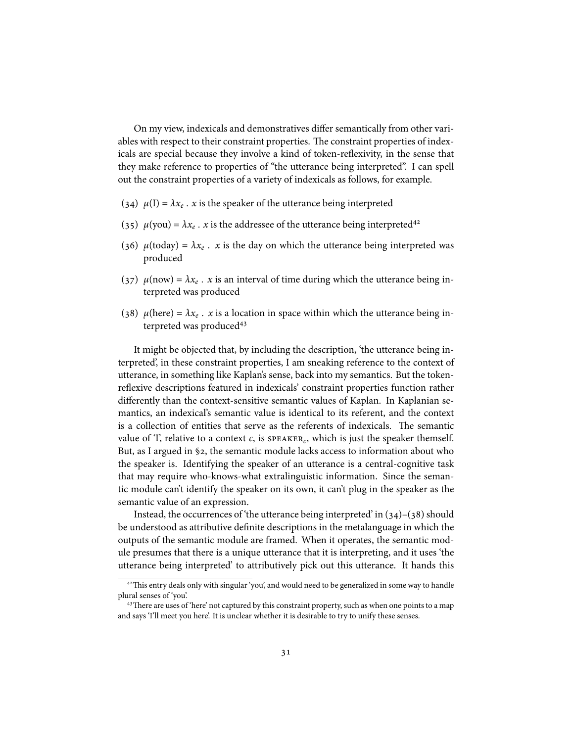On my view, indexicals and demonstratives differ semantically from other variables with respect to their constraint properties. The constraint properties of indexicals are special because they involve a kind of token-reflexivity, in the sense that they make reference to properties of "the utterance being interpreted". I can spell out the constraint properties of a variety of indexicals as follows, for example.

- (34)  $\mu(I) = \lambda x_e$ . *x* is the speaker of the utterance being interpreted
- (35)  $\mu$ (you) =  $\lambda x_e$ . *x* is the addressee of the utterance being interpreted<sup>42</sup>
- (36)  $\mu$ (today) =  $\lambda x_e$ . *x* is the day on which the utterance being interpreted was produced
- (37)  $\mu(\text{now}) = \lambda x_e$ . *x* is an interval of time during which the utterance being interpreted was produced
- (38)  $\mu$ (here) =  $\lambda x_e$ . *x* is a location in space within which the utterance being interpreted was produced

It might be objected that, by including the description, 'the utterance being interpreted', in these constraint properties, I am sneaking reference to the context of utterance, in something like Kaplan's sense, back into my semantics. But the tokenreflexive descriptions featured in indexicals' constraint properties function rather differently than the context-sensitive semantic values of Kaplan. In Kaplanian semantics, an indexical's semantic value is identical to its referent, and the context is a collection of entities that serve as the referents of indexicals. The semantic value of T, relative to a context  $c$ , is  $s$ PEAKER<sub>c</sub>, which is just the speaker themself. But, as I argued in  $\S$ 2, the semantic module lacks access to information about who the speaker is. Identifying the speaker of an utterance is a central-cognitive task that may require who-knows-what extralinguistic information. Since the semantic module can't identify the speaker on its own, it can't plug in the speaker as the semantic value of an expression.

Instead, the occurrences of 'the utterance being interpreted' in  $(34)$ – $(38)$  should be understood as attributive definite descriptions in the metalanguage in which the outputs of the semantic module are framed. When it operates, the semantic module presumes that there is a unique utterance that it is interpreting, and it uses 'the utterance being interpreted' to attributively pick out this utterance. It hands this

<sup>&</sup>lt;sup>42</sup>This entry deals only with singular 'you', and would need to be generalized in some way to handle plural senses of 'you'.

<sup>&</sup>lt;sup>43</sup> There are uses of 'here' not captured by this constraint property, such as when one points to a map and says 'I'll meet you here'. It is unclear whether it is desirable to try to unify these senses.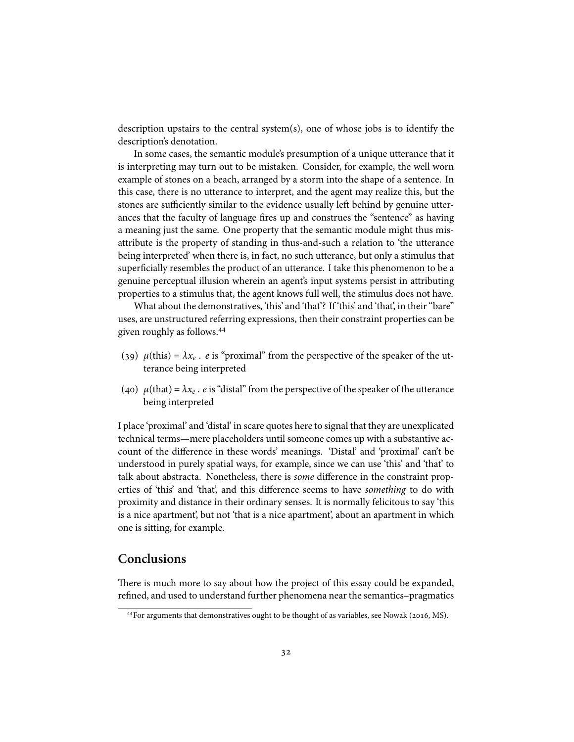description upstairs to the central system(s), one of whose jobs is to identify the description's denotation.

In some cases, the semantic module's presumption of a unique utterance that it is interpreting may turn out to be mistaken. Consider, for example, the well worn example of stones on a beach, arranged by a storm into the shape of a sentence. In this case, there is no utterance to interpret, and the agent may realize this, but the stones are sufficiently similar to the evidence usually left behind by genuine utterances that the faculty of language fires up and construes the "sentence" as having a meaning just the same. One property that the semantic module might thus misattribute is the property of standing in thus-and-such a relation to 'the utterance being interpreted' when there is, in fact, no such utterance, but only a stimulus that superficially resembles the product of an utterance. I take this phenomenon to be a genuine perceptual illusion wherein an agent's input systems persist in attributing properties to a stimulus that, the agent knows full well, the stimulus does not have.

What about the demonstratives, 'this' and 'that'? If 'this' and 'that', in their "bare" uses, are unstructured referring expressions, then their constraint properties can be given roughly as follows.

- (39)  $\mu$ (this) =  $\lambda x_e$ . *e* is "proximal" from the perspective of the speaker of the utterance being interpreted
- (40)  $\mu$ (that) =  $\lambda x_e$  . *e* is "distal" from the perspective of the speaker of the utterance being interpreted

I place 'proximal' and 'distal' in scare quotes here to signal that they are unexplicated technical terms—mere placeholders until someone comes up with a substantive account of the difference in these words' meanings. 'Distal' and 'proximal' can't be understood in purely spatial ways, for example, since we can use 'this' and 'that' to talk about abstracta. Nonetheless, there is *some* difference in the constraint properties of 'this' and 'that', and this difference seems to have *something* to do with proximity and distance in their ordinary senses. It is normally felicitous to say 'this is a nice apartment', but not 'that is a nice apartment', about an apartment in which one is sitting, for example.

## **Conclusions**

There is much more to say about how the project of this essay could be expanded, refined, and used to understand further phenomena near the semantics–pragmatics

<sup>&</sup>lt;sup>44</sup> For arguments that demonstratives ought to be thought of as variables, see Nowak ( $2016$ , MS).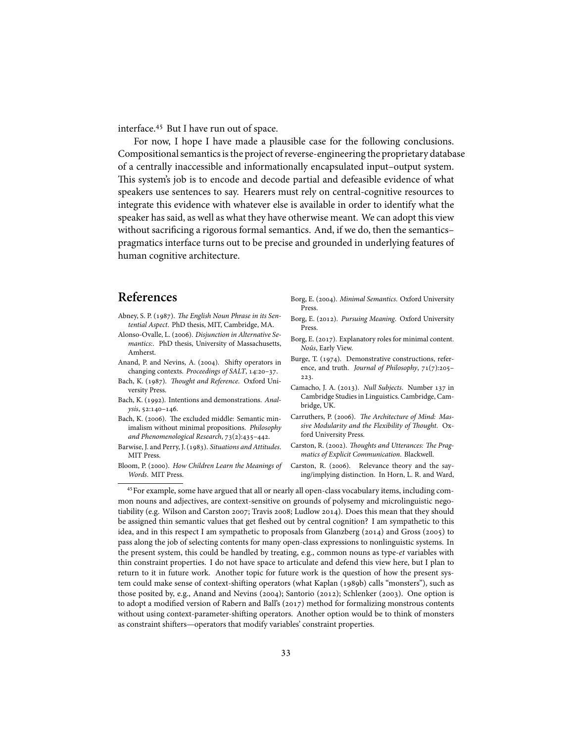interface.<sup>45</sup> But I have run out of space.

For now, I hope I have made a plausible case for the following conclusions. Compositional semantics is the project of reverse-engineering the proprietary database of a centrally inaccessible and informationally encapsulated input–output system. This system's job is to encode and decode partial and defeasible evidence of what speakers use sentences to say. Hearers must rely on central-cognitive resources to integrate this evidence with whatever else is available in order to identify what the speaker has said, as well as what they have otherwise meant. We can adopt this view without sacrificing a rigorous formal semantics. And, if we do, then the semantics– pragmatics interface turns out to be precise and grounded in underlying features of human cognitive architecture.

# **References**

- Abney, S. P. (1987). The English Noun Phrase in its Sen*tential Aspect*. PhD thesis, MIT, Cambridge, MA.
- Alonso-Ovalle, L. (2006). *Disjunction in Alternative Semantics:*. PhD thesis, University of Massachusetts, Amherst.
- Anand, P. and Nevins, A. (2004). Shifty operators in changing contexts. *Proceedings of SALT*, 14:20-37.
- Bach, K. (1987). *Thought and Reference*. Oxford University Press.
- Bach, K. (1992). Intentions and demonstrations. Anal*ysis*, 52:140-146.
- Bach, K. (2006). The excluded middle: Semantic minimalism without minimal propositions. *Philosophy and Phenomenological Research*,  $73(2):435-442$ .
- Barwise, J. and Perry, J. (1983). Situations and Attitudes. MIT Press.
- Bloom, P. (2000). How Children Learn the Meanings of *Words*. MIT Press.
- Borg, E. (2004). *Minimal Semantics*. Oxford University Press.
- Borg, E. (2012). Pursuing Meaning. Oxford University Press.
- Borg, E. (2017). Explanatory roles for minimal content. *Noûs*, Early View.
- Burge, T. (1974). Demonstrative constructions, reference, and truth. *Journal of Philosophy*, 71(7):205-223.
- Camacho, J. A. (2013). *Null Subjects*. Number 137 in Cambridge Studies in Linguistics. Cambridge, Cambridge, UK.
- Carruthers, P. (2006). The Architecture of Mind: Mas*sive Modularity and the Flexibility of Thought*. Oxford University Press.
- Carston, R. (2002). Thoughts and Utterances: The Prag*matics of Explicit Communication*. Blackwell.
- Carston, R. (2006). Relevance theory and the saying/implying distinction. In Horn, L. R. and Ward,

 $<sup>45</sup>$  For example, some have argued that all or nearly all open-class vocabulary items, including com-</sup> mon nouns and adjectives, are context-sensitive on grounds of polysemy and microlinguistic negotiability (e.g. Wilson and Carston 2007; Travis 2008; Ludlow 2014). Does this mean that they should be assigned thin semantic values that get fleshed out by central cognition? I am sympathetic to this idea, and in this respect I am sympathetic to proposals from Glanzberg  $(2014)$  and Gross  $(2005)$  to pass along the job of selecting contents for many open-class expressions to nonlinguistic systems. In the present system, this could be handled by treating, e.g., common nouns as type-*et* variables with thin constraint properties. I do not have space to articulate and defend this view here, but I plan to return to it in future work. Another topic for future work is the question of how the present system could make sense of context-shifting operators (what Kaplan (1989b) calls "monsters"), such as those posited by, e.g., Anand and Nevins (2004); Santorio (2012); Schlenker (2003). One option is to adopt a modified version of Rabern and Ball's  $(2017)$  method for formalizing monstrous contents without using context-parameter-shifting operators. Another option would be to think of monsters as constraint shifters—operators that modify variables' constraint properties.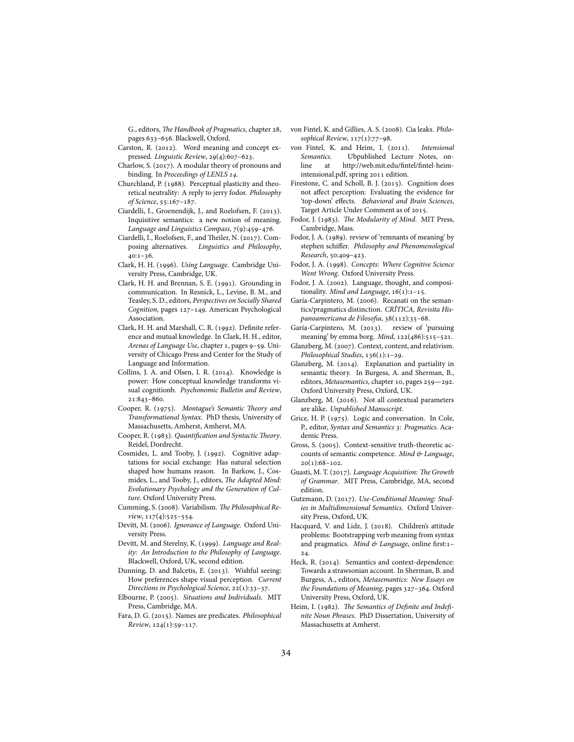G., editors, *The Handbook of Pragmatics*, chapter 28, pages 633-656. Blackwell, Oxford.

- Carston, R. (2012). Word meaning and concept expressed. *Linguistic Review*, 29(4):607-623.
- Charlow, S. (2017). A modular theory of pronouns and binding. In *Proceedings of LENLS* .
- Churchland, P. (1988). Perceptual plasticity and theoretical neutrality: A reply to jerry fodor. *Philosophy of Science*, 55:167-187.
- Ciardelli, I., Groenendijk, J., and Roelofsen, F. (2013). Inquisitive semantics: a new notion of meaning. *Language and Linguistics Compass*,  $7(9):459-476$ .
- Ciardelli, I., Roelofsen, F., and Theiler, N. (2017). Composing alternatives. *Linguistics and Philosophy*,  $40:1-36.$
- Clark, H. H. (1996). *Using Language*. Cambridge University Press, Cambridge, UK.
- Clark, H. H. and Brennan, S. E. (1991). Grounding in communication. In Resnick, L., Levine, B. M., and Teasley, S. D., editors, *Perspectives on Socially Shared* Cognition, pages 127-149. American Psychological Association.
- Clark, H. H. and Marshall, C. R. (1992). Definite reference and mutual knowledge. In Clark, H. H., editor, Arenas of Language Use, chapter 1, pages 9-59. University of Chicago Press and Center for the Study of Language and Information.
- Collins, J. A. and Olsen, I. R. (2014). Knowledge is power: How conceptual knowledge transforms visual cognitionb. *Psychonomic Bulletin and Review*, 21:843-860.
- Cooper, R. (1975). Montague's Semantic Theory and *Transformational Syntax*. PhD thesis, University of Massachusetts, Amherst, Amherst, MA.
- Cooper, R. (1983). *Quantification and Syntactic Theory*. Reidel, Dordrecht.
- Cosmides, L. and Tooby, J. (1992). Cognitive adaptations for social exchange: Has natural selection shaped how humans reason. In Barkow, J., Cosmides, L., and Tooby, J., editors, *The Adapted Mind: Evolutionary Psychology and the Generation of Culture*. Oxford University Press.
- Cumming, S. (2008). Variabilism. The Philosophical Re*view*, 117(4):525-554.
- Devitt, M. (2006). Ignorance of Language. Oxford University Press.
- Devitt, M. and Sterelny, K. (1999). Language and Real*ity: An Introduction to the Philosophy of Language*. Blackwell, Oxford, UK, second edition.
- Dunning, D. and Balcetis, E. (2013). Wishful seeing: How preferences shape visual perception. *Current Directions in Psychological Science*, 22(1):33-37.
- Elbourne, P. (2005). Situations and Individuals. MIT Press, Cambridge, MA.
- Fara, D. G. (). Names are predicates. *Philosophical*  $Review, 124(1):59-117.$
- von Fintel, K. and Gillies, A. S. (2008). Cia leaks. *Philo*sophical Review, 117(1):77-98.
- von Fintel, K. and Heim, I. (2011). Intensional *Semantics*. Ubpublished Lecture Notes, online at http://web.mit.edu/fintel/fintel-heimintensional.pdf, spring 2011 edition.
- Firestone, C. and Scholl, B. J. (2015). Cognition does not affect perception: Evaluating the evidence for 'top-down' effects. *Behavioral and Brain Sciences*, Target Article Under Comment as of 2015.
- Fodor, J. (1983). The Modularity of Mind. MIT Press, Cambridge, Mass.
- Fodor, J. A. (1989). review of 'remnants of meaning' by stephen schiffer. *Philosophy and Phenomenological Research*, 50:409-423.
- Fodor, J. A. (1998). *Concepts: Where Cognitive Science Went Wrong*. Oxford University Press.
- Fodor, J. A. (2002). Language, thought, and compositionality. *Mind and Language*, 16(1):1-15.
- Garía-Carpintero, M. (2006). Recanati on the semantics/pragmatics distinction. *CRÍTICA, Revisita His*panoamericana de Filosofia, 38(112):35-68.
- Garía-Carpintero, M. (2013). review of 'pursuing meaning' by emma borg. *Mind*, 122(486):515-521.
- Glanzberg, M. (2007). Context, content, and relativism. *Philosophical Studies*, 136(1):1-29.
- Glanzberg, M. (2014). Explanation and partiality in semantic theory. In Burgess, A. and Sherman, B., editors, Metasemantics, chapter 10, pages 259-292. Oxford University Press, Oxford, UK.
- Glanzberg, M. (2016). Not all contextual parameters are alike. *Unpublished Manuscript*.
- Grice, H. P. (1975). Logic and conversation. In Cole, P., editor, *Syntax and Semantics : Pragmatics*. Academic Press.
- Gross, S. (2005). Context-sensitive truth-theoretic accounts of semantic competence. *Mind & Language*,  $20(1):68-102.$
- Guasti, M. T. (2017). *Language Acquisition: The Growth of Grammar*. MIT Press, Cambridge, MA, second edition.
- Gutzmann, D. (2017). Use-Conditional Meaning: Stud*ies in Multidimensional Semantics*. Oxford University Press, Oxford, UK.
- Hacquard, V. and Lidz, J. (2018). Children's attitude problems: Bootstrapping verb meaning from syntax and pragmatics. *Mind & Language*, online first:– 24.
- Heck, R. (2014). Semantics and context-dependence: Towards a strawsonian account. In Sherman, B. and Burgess, A., editors, *Metasemantics: New Essays on the Foundations of Meaning*, pages 327-364. Oxford University Press, Oxford, UK.
- Heim, I. (1982). The Semantics of Definite and Indefi*nite Noun Phrases*. PhD Dissertation, University of Massachusetts at Amherst.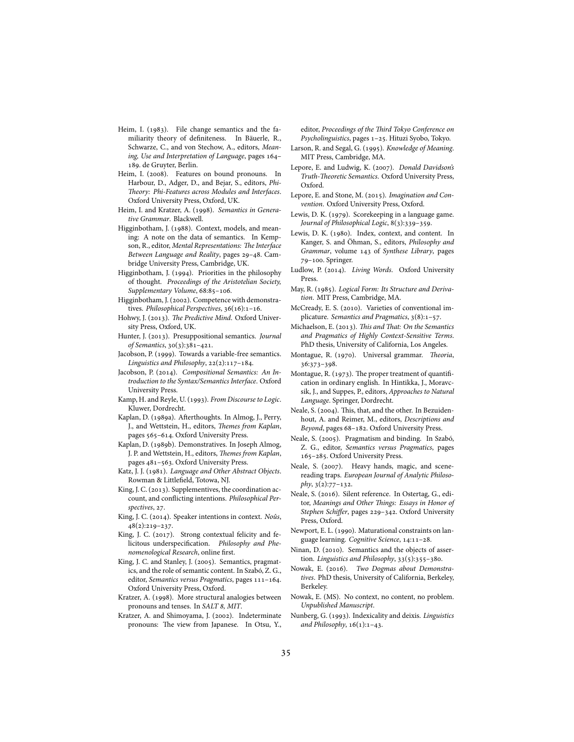- Heim, I. (1983). File change semantics and the familiarity theory of definiteness. In Bäuerle, R., Schwarze, C., and von Stechow, A., editors, *Meaning, Use and Interpretation of Language*, pages 164-. de Gruyter, Berlin.
- Heim, I. (2008). Features on bound pronouns. In Harbour, D., Adger, D., and Bejar, S., editors, *Phi-Theory: Phi-Features across Modules and Interfaces*. Oxford University Press, Oxford, UK.
- Heim, I. and Kratzer, A. (1998). Semantics in Genera*tive Grammar*. Blackwell.
- Higginbotham, J. (1988). Context, models, and meaning: A note on the data of semantics. In Kempson, R., editor, *Mental Representations: The Interface* Between Language and Reality, pages 29-48. Cambridge University Press, Cambridge, UK.
- Higginbotham, J. (1994). Priorities in the philosophy of thought. *Proceedings of the Aristotelian Society,* Supplementary Volume, 68:85-106.
- Higginbotham, J. (2002). Competence with demonstratives. *Philosophical Perspectives*, 36(16):1-16.
- Hohwy, J. (2013). The Predictive Mind. Oxford University Press, Oxford, UK.
- Hunter, J. (2013). Presuppositional semantics. *Journal of Semantics*, 30(3):381-421.
- Jacobson, P. (1999). Towards a variable-free semantics. Linguistics and Philosophy, 22(2):117-184.
- Jacobson, P. (2014). Compositional Semantics: An In*troduction to the Syntax/Semantics Interface*. Oxford University Press.
- Kamp, H. and Reyle, U. (1993). From Discourse to Logic. Kluwer, Dordrecht.
- Kaplan, D. (1989a). Afterthoughts. In Almog, J., Perry, J., and Wettstein, H., editors, *Themes from Kaplan*, pages 565-614. Oxford University Press.
- Kaplan, D. (1989b). Demonstratives. In Joseph Almog, J. P. and Wettstein, H., editors, *Themes from Kaplan*, pages 481-563. Oxford University Press.
- Katz, J. J. (1981). *Language and Other Abstract Objects*. Rowman & Littlefield, Totowa, NJ.
- King, J. C. (2013). Supplementives, the coordination account, and conflicting intentions. *Philosophical Perspectives*, 27.
- King, J. C. (2014). Speaker intentions in context. *Noûs*,  $48(2):219-237.$
- King, J. C.  $(2017)$ . Strong contextual felicity and felicitous underspecification. *Philosophy and Phenomenological Research*, online first.
- King, J. C. and Stanley, J. (2005). Semantics, pragmatics, and the role of semantic content. In Szabó, Z. G., editor, *Semantics versus Pragmatics*, pages 111-164. Oxford University Press, Oxford.
- Kratzer, A. (1998). More structural analogies between pronouns and tenses. In *SALT 8*, *MIT*.
- Kratzer, A. and Shimoyama, J. (2002). Indeterminate pronouns: The view from Japanese. In Otsu, Y.,

editor, *Proceedings of the Third Tokyo Conference on* Psycholinguistics, pages 1-25. Hituzi Syobo, Tokyo.

- Larson, R. and Segal, G. (1995). *Knowledge of Meaning*. MIT Press, Cambridge, MA.
- Lepore, E. and Ludwig, K. (2007). *Donald Davidson's Truth-Theoretic Semantics*. Oxford University Press, Oxford.
- Lepore, E. and Stone, M. (2015). *Imagination and Convention*. Oxford University Press, Oxford.
- Lewis, D. K. (1979). Scorekeeping in a language game. *Journal of Philosophical Logic*,  $8(3):339-359$ .
- Lewis, D. K. (1980). Index, context, and content. In Kanger, S. and Öhman, S., editors, *Philosophy and Grammar*, volume 143 of *Synthese Library*, pages 79-100. Springer.
- Ludlow, P. (2014). *Living Words*. Oxford University Press.
- May, R. (1985). Logical Form: Its Structure and Deriva*tion*. MIT Press, Cambridge, MA.
- McCready, E. S. (2010). Varieties of conventional implicature. *Semantics and Pragmatics*,  $3(8):1-57$ .
- Michaelson, E. (2013). *This and That: On the Semantics and Pragmatics of Highly Context-Sensitive Terms*. PhD thesis, University of California, Los Angeles.
- Montague, R. (1970). Universal grammar. *Theoria*, 36:373-398.
- Montague, R.  $(1973)$ . The proper treatment of quantification in ordinary english. In Hintikka, J., Moravcsik, J., and Suppes, P., editors, *Approaches to Natural Language*. Springer, Dordrecht.
- Neale, S. (2004). This, that, and the other. In Bezuidenhout, A. and Reimer, M., editors, *Descriptions and* Beyond, pages 68-182. Oxford University Press.
- Neale, S. (2005). Pragmatism and binding. In Szabó, Z. G., editor, *Semantics versus Pragmatics*, pages 165-285. Oxford University Press.
- Neale, S. (2007). Heavy hands, magic, and scenereading traps. *European Journal of Analytic Philoso* $phy, 3(2):77-132.$
- Neale, S. (2016). Silent reference. In Ostertag, G., editor, *Meanings and Other Things: Essays in Honor of Stephen Schiffer*, pages 229-342. Oxford University Press, Oxford.
- Newport, E. L. (1990). Maturational constraints on language learning. *Cognitive Science*, 14:11-28.
- Ninan, D. (2010). Semantics and the objects of assertion. *Linguistics and Philosophy*, 33(5):355-380.
- Nowak, E. (2016). Two Dogmas about Demonstra*tives*. PhD thesis, University of California, Berkeley, Berkeley.
- Nowak, E. (MS). No context, no content, no problem. *Unpublished Manuscript*.
- Nunberg, G. (). Indexicality and deixis. *Linguistics* and Philosophy,  $16(1):1-43$ .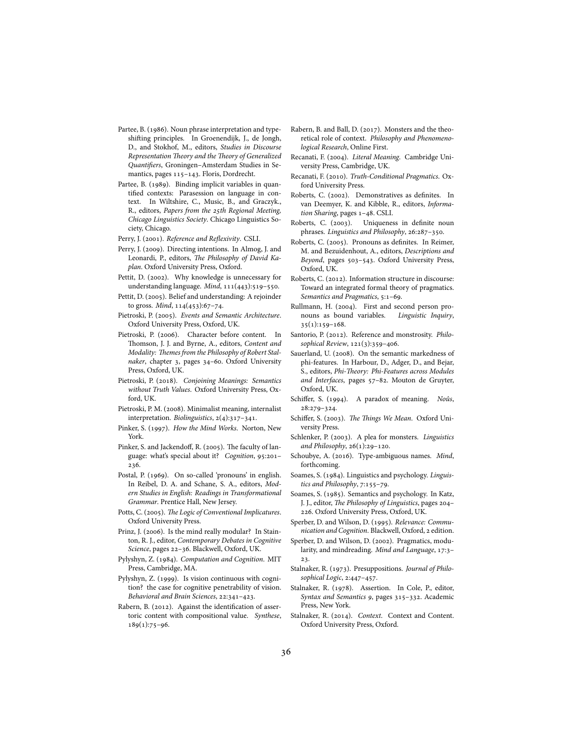- Partee, B. (1986). Noun phrase interpretation and typeshifting principles. In Groenendijk, J., de Jongh, D., and Stokhof, M., editors, *Studies in Discourse Representation Theory and the Theory of Generalized Quantifiers*, Groningen–Amsterdam Studies in Semantics, pages 115-143. Floris, Dordrecht.
- Partee, B. (1989). Binding implicit variables in quantified contexts: Parasession on language in context. In Wiltshire, C., Music, B., and Graczyk., R., editors, *Papers from the 25th Regional Meeting*, *Chicago Linguistics Society*. Chicago Linguistics Society, Chicago.
- Perry, J. (2001). *Reference and Reflexivity*. CSLI.
- Perry, J. (2009). Directing intentions. In Almog, J. and Leonardi, P., editors, *The Philosophy of David Kaplan*. Oxford University Press, Oxford.
- Pettit, D. (2002). Why knowledge is unnecessary for understanding language. *Mind*, 111(443):519-550.
- Pettit, D. (2005). Belief and understanding: A rejoinder to gross. *Mind*, 114(453):67-74.
- Pietroski, P. (2005). Events and Semantic Architecture. Oxford University Press, Oxford, UK.
- Pietroski, P. (2006). Character before content. In Thomson, J. J. and Byrne, A., editors, *Content and Modality: Themes from the Philosophy of Robert Stal*naker, chapter 3, pages 34-60. Oxford University Press, Oxford, UK.
- Pietroski, P. (2018). *Conjoining Meanings: Semantics without Truth Values*. Oxford University Press, Oxford, UK.
- Pietroski, P. M. (2008). Minimalist meaning, internalist interpretation. *Biolinguistics*, 2(4):317-341.
- Pinker, S. (1997). *How the Mind Works*. Norton, New York.
- Pinker, S. and Jackendoff, R. (2005). The faculty of language: what's special about it? *Cognition*, 95:201-236.
- Postal, P. (1969). On so-called 'pronouns' in english. In Reibel, D. A. and Schane, S. A., editors, *Modern Studies in English: Readings in Transformational Grammar*. Prentice Hall, New Jersey.
- Potts, C. (2005). *The Logic of Conventional Implicatures*. Oxford University Press.
- Prinz, J. (2006). Is the mind really modular? In Stainton, R. J., editor, *Contemporary Debates in Cognitive* Science, pages 22-36. Blackwell, Oxford, UK.
- Pylyshyn, Z. (1984). *Computation and Cognition*. MIT Press, Cambridge, MA.
- Pylyshyn, Z. (1999). Is vision continuous with cognition? the case for cognitive penetrability of vision. *Behavioral and Brain Sciences*, 22:341-423.
- Rabern, B. (2012). Against the identification of assertoric content with compositional value. *Synthese*,  $189(1):75-96.$
- Rabern, B. and Ball, D. (2017). Monsters and the theoretical role of context. *Philosophy and Phenomenological Research*, Online First.
- Recanati, F. (2004). *Literal Meaning*. Cambridge University Press, Cambridge, UK.
- Recanati, F. (2010). Truth-Conditional Pragmatics. Oxford University Press.
- Roberts, C. (2002). Demonstratives as definites. In van Deemyer, K. and Kibble, R., editors, *Informa*tion Sharing, pages 1-48. CSLI.
- Roberts, C. (2003). Uniqueness in definite noun phrases. Linguistics and Philosophy, 26:287-350.
- Roberts, C. (2005). Pronouns as definites. In Reimer, M. and Bezuidenhout, A., editors, *Descriptions and* Beyond, pages 503-543. Oxford University Press, Oxford, UK.
- Roberts, C. (2012). Information structure in discourse: Toward an integrated formal theory of pragmatics. *Semantics and Pragmatics*, 5:1-69.
- Rullmann, H. (2004). First and second person pronouns as bound variables. *Linguistic Inquiry*,  $35(1):159-168.$
- Santorio, P. (2012). Reference and monstrosity. *Philo*sophical Review, 121(3):359-406.
- Sauerland, U. (2008). On the semantic markedness of phi-features. In Harbour, D., Adger, D., and Bejar, S., editors, *Phi-Theory: Phi-Features across Modules* and Interfaces, pages 57-82. Mouton de Gruyter, Oxford, UK.
- Schiffer, S. (1994). A paradox of meaning. *Noûs*, 28:279-324.
- Schiffer, S. (2003). The Things We Mean. Oxford University Press.
- Schlenker, P. (2003). A plea for monsters. *Linguistics and Philosophy*, 26(1):29-120.
- Schoubye, A. (2016). Type-ambiguous names. *Mind*, forthcoming.
- Soames, S. (1984). Linguistics and psychology. *Linguis*tics and Philosophy, 7:155-79.
- Soames, S. (1985). Semantics and psychology. In Katz, J. J., editor, *The Philosophy of Linguistics*, pages 204-. Oxford University Press, Oxford, UK.
- Sperber, D. and Wilson, D. (1995). Relevance: Commu*nication and Cognition*. Blackwell, Oxford, edition.
- Sperber, D. and Wilson, D. (2002). Pragmatics, modularity, and mindreading. Mind and Language, 17:3-23.
- Stalnaker, R. (1973). Presuppositions. *Journal of Philo*sophical Logic, 2:447-457.
- Stalnaker, R. (1978). Assertion. In Cole, P., editor, *Syntax and Semantics 9*, pages 315-332. Academic Press, New York.
- Stalnaker, R. (2014). *Context*. Context and Content. Oxford University Press, Oxford.